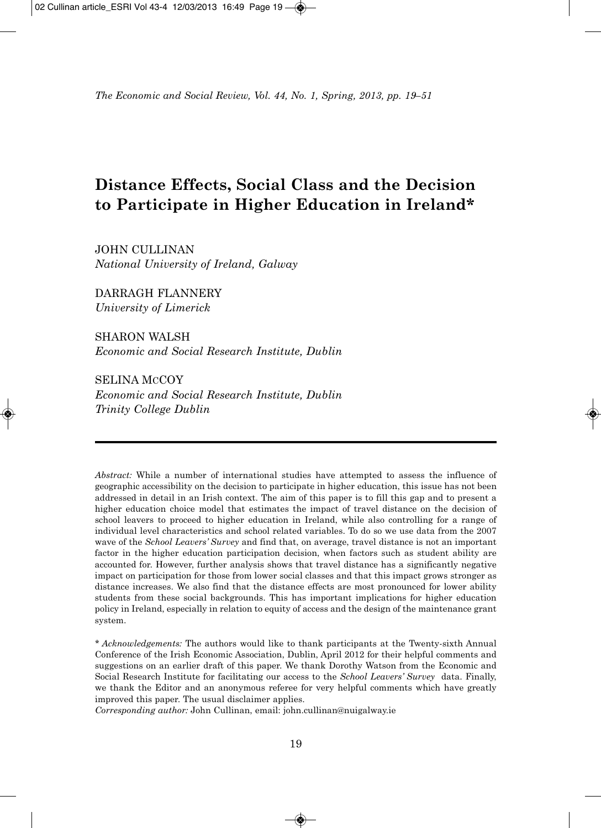# **Distance Effects, Social Class and the Decision to Participate in Higher Education in Ireland\***

JOHN CULLINAN *National University of Ireland, Galway*

DARRAGH FLANNERY *University of Limerick*

SHARON WALSH *Economic and Social Research Institute, Dublin*

SELINA MCCOY *Economic and Social Research Institute, Dublin*

*Trinity College Dublin*

*Abstract:* While a number of international studies have attempted to assess the influence of geographic accessibility on the decision to participate in higher education, this issue has not been addressed in detail in an Irish context. The aim of this paper is to fill this gap and to present a higher education choice model that estimates the impact of travel distance on the decision of school leavers to proceed to higher education in Ireland, while also controlling for a range of individual level characteristics and school related variables. To do so we use data from the 2007 wave of the *School Leavers' Survey* and find that, on average, travel distance is not an important factor in the higher education participation decision, when factors such as student ability are accounted for. However, further analysis shows that travel distance has a significantly negative impact on participation for those from lower social classes and that this impact grows stronger as distance increases. We also find that the distance effects are most pronounced for lower ability students from these social backgrounds. This has important implications for higher education policy in Ireland, especially in relation to equity of access and the design of the maintenance grant system.

\* *Acknowledgements:* The authors would like to thank participants at the Twenty-sixth Annual Conference of the Irish Economic Association, Dublin, April 2012 for their helpful comments and suggestions on an earlier draft of this paper. We thank Dorothy Watson from the Economic and Social Research Institute for facilitating our access to the *School Leavers' Survey* data. Finally, we thank the Editor and an anonymous referee for very helpful comments which have greatly improved this paper. The usual disclaimer applies.

*Corresponding author:* John Cullinan, email: john.cullinan@nuigalway.ie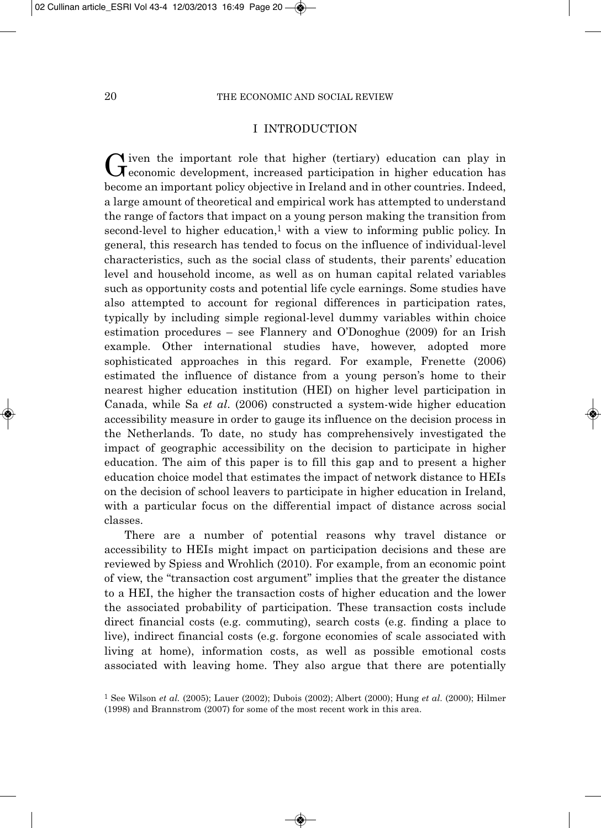## I INTRODUCTION

Given the important role that higher (tertiary) education can play in economic development, increased participation in higher education has become an important policy objective in Ireland and in other countries. Indeed, a large amount of theoretical and empirical work has attempted to understand the range of factors that impact on a young person making the transition from second-level to higher education,<sup>1</sup> with a view to informing public policy. In general, this research has tended to focus on the influence of individual-level characteristics, such as the social class of students, their parents' education level and household income, as well as on human capital related variables such as opportunity costs and potential life cycle earnings. Some studies have also attempted to account for regional differences in participation rates, typically by including simple regional-level dummy variables within choice estimation procedures – see Flannery and O'Donoghue (2009) for an Irish example. Other international studies have, however, adopted more sophisticated approaches in this regard. For example, Frenette (2006) estimated the influence of distance from a young person's home to their nearest higher education institution (HEI) on higher level participation in Canada, while Sa *et al*. (2006) constructed a system-wide higher education accessibility measure in order to gauge its influence on the decision process in the Netherlands. To date, no study has comprehensively investigated the impact of geographic accessibility on the decision to participate in higher education. The aim of this paper is to fill this gap and to present a higher education choice model that estimates the impact of network distance to HEIs on the decision of school leavers to participate in higher education in Ireland, with a particular focus on the differential impact of distance across social classes.

There are a number of potential reasons why travel distance or accessibility to HEIs might impact on participation decisions and these are reviewed by Spiess and Wrohlich (2010). For example, from an economic point of view, the "transaction cost argument" implies that the greater the distance to a HEI, the higher the transaction costs of higher education and the lower the associated probability of participation. These transaction costs include direct financial costs (e.g. commuting), search costs (e.g. finding a place to live), indirect financial costs (e.g. forgone economies of scale associated with living at home), information costs, as well as possible emotional costs associated with leaving home. They also argue that there are potentially

<sup>1</sup> See Wilson *et al.* (2005); Lauer (2002); Dubois (2002); Albert (2000); Hung *et al*. (2000); Hilmer (1998) and Brannstrom (2007) for some of the most recent work in this area.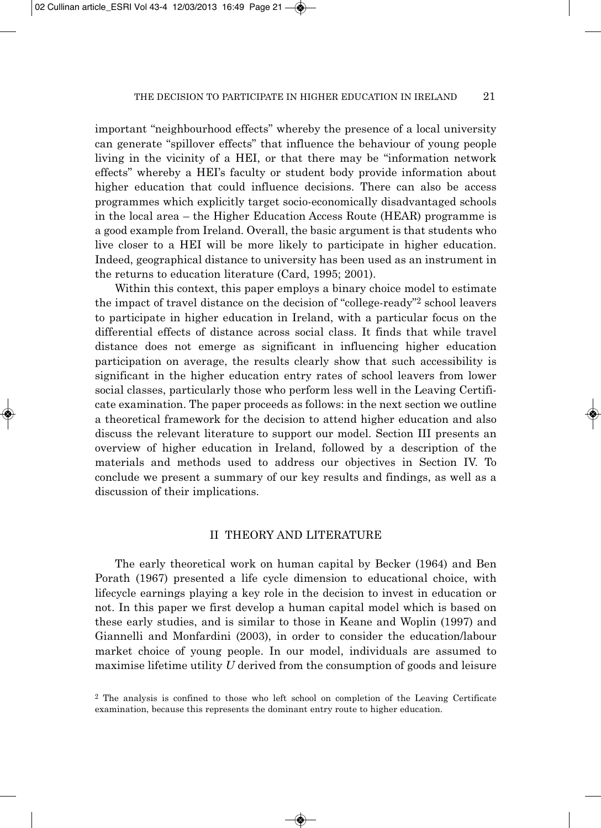important "neighbourhood effects" whereby the presence of a local university can generate "spillover effects" that influence the behaviour of young people living in the vicinity of a HEI, or that there may be "information network effects" whereby a HEI's faculty or student body provide information about higher education that could influence decisions. There can also be access programmes which explicitly target socio-economically disadvantaged schools in the local area – the Higher Education Access Route (HEAR) programme is a good example from Ireland. Overall, the basic argument is that students who live closer to a HEI will be more likely to participate in higher education. Indeed, geographical distance to university has been used as an instrument in the returns to education literature (Card, 1995; 2001).

Within this context, this paper employs a binary choice model to estimate the impact of travel distance on the decision of "college-ready"2 school leavers to participate in higher education in Ireland, with a particular focus on the differential effects of distance across social class. It finds that while travel distance does not emerge as significant in influencing higher education participation on average, the results clearly show that such accessibility is significant in the higher education entry rates of school leavers from lower social classes, particularly those who perform less well in the Leaving Certificate examination. The paper proceeds as follows: in the next section we outline a theoretical framework for the decision to attend higher education and also discuss the relevant literature to support our model. Section III presents an overview of higher education in Ireland, followed by a description of the materials and methods used to address our objectives in Section IV. To conclude we present a summary of our key results and findings, as well as a discussion of their implications.

#### II THEORY AND LITERATURE

The early theoretical work on human capital by Becker (1964) and Ben Porath (1967) presented a life cycle dimension to educational choice, with lifecycle earnings playing a key role in the decision to invest in education or not. In this paper we first develop a human capital model which is based on these early studies, and is similar to those in Keane and Woplin (1997) and Giannelli and Monfardini (2003), in order to consider the education/labour market choice of young people. In our model, individuals are assumed to maximise lifetime utility *U* derived from the consumption of goods and leisure

<sup>2</sup> The analysis is confined to those who left school on completion of the Leaving Certificate examination, because this represents the dominant entry route to higher education.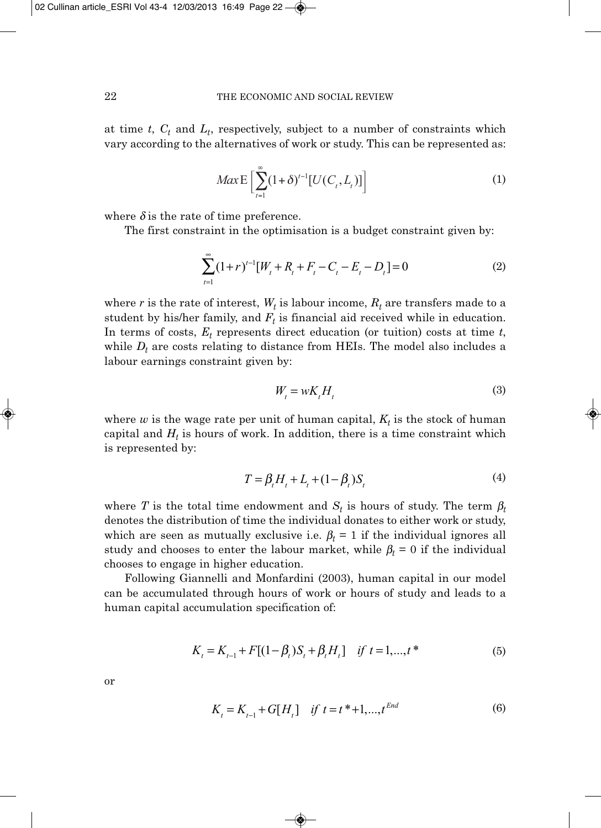at time  $t$ ,  $C_t$  and  $L_t$ , respectively, subject to a number of constraints which vary according to the alternatives of work or study. This can be represented as:

$$
Max \mathbf{E} \left[ \sum_{t=1}^{\infty} (1+\delta)^{t-1} [U(C_t, L_t)] \right]
$$
 (1)

where  $\delta$  is the rate of time preference.

The first constraint in the optimisation is a budget constraint given by:

$$
\sum_{t=1}^{\infty} (1+r)^{t-1} [W_t + R_t + F_t - C_t - E_t - D_t] = 0
$$
\n(2)

where  $r$  is the rate of interest,  $W_t$  is labour income,  $R_t$  are transfers made to a student by his/her family, and  $F_t$  is financial aid received while in education. In terms of costs,  $E_t$  represents direct education (or tuition) costs at time  $t$ , while  $D_t$  are costs relating to distance from HEIs. The model also includes a labour earnings constraint given by:

$$
W_t = wK_t H_t \tag{3}
$$

where  $w$  is the wage rate per unit of human capital,  $K_t$  is the stock of human capital and  $H_t$  is hours of work. In addition, there is a time constraint which is represented by:

$$
T = \beta_t H_t + L_t + (1 - \beta_t) S_t \tag{4}
$$

where *T* is the total time endowment and  $S_t$  is hours of study. The term  $\beta_t$ denotes the distribution of time the individual donates to either work or study, which are seen as mutually exclusive i.e.  $\beta_t = 1$  if the individual ignores all study and chooses to enter the labour market, while  $\beta_t = 0$  if the individual chooses to engage in higher education.

Following Giannelli and Monfardini (2003), human capital in our model can be accumulated through hours of work or hours of study and leads to a human capital accumulation specification of:

$$
K_{t} = K_{t-1} + F[(1 - \beta_{t})S_{t} + \beta_{t}H_{t}] \quad \text{if } t = 1,...,t^{*}
$$
 (5)

or

$$
K_{t} = K_{t-1} + G[H_{t}] \quad \text{if } t = t^* + 1, \dots, t^{End} \tag{6}
$$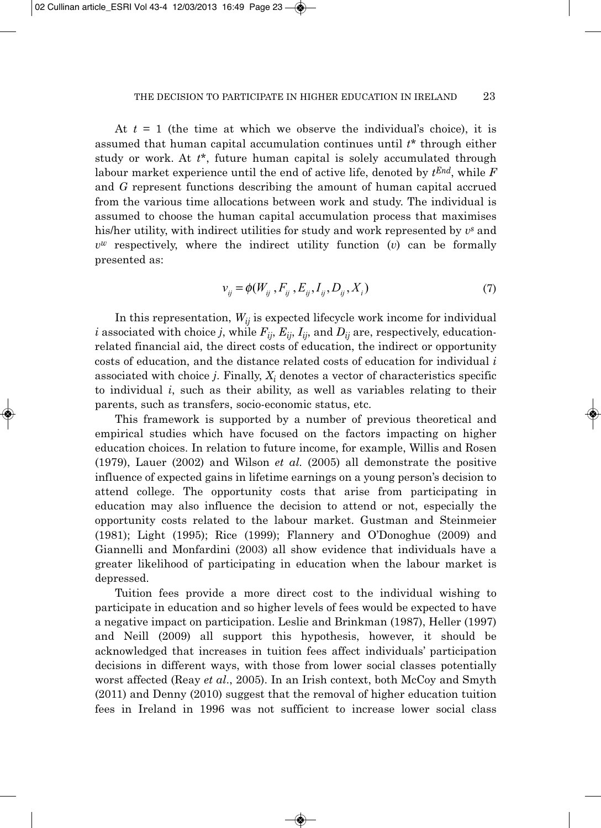At  $t = 1$  (the time at which we observe the individual's choice), it is assumed that human capital accumulation continues until *t*\* through either study or work. At *t*\*, future human capital is solely accumulated through labour market experience until the end of active life, denoted by *tEnd*, while *F* and *G* represent functions describing the amount of human capital accrued from the various time allocations between work and study. The individual is assumed to choose the human capital accumulation process that maximises his/her utility, with indirect utilities for study and work represented by *vs* and  $v^w$  respectively, where the indirect utility function  $(v)$  can be formally presented as:

$$
v_{ij} = \phi(W_{ij}, F_{ij}, E_{ij}, I_{ij}, D_{ij}, X_i)
$$
\n(7)

In this representation,  $W_{ij}$  is expected lifecycle work income for individual *i* associated with choice *j*, while  $F_{ii}$ ,  $E_{ii}$ ,  $I_{ii}$ , and  $D_{ii}$  are, respectively, educationrelated financial aid, the direct costs of education, the indirect or opportunity costs of education, and the distance related costs of education for individual *i* associated with choice *j*. Finally,  $X_i$  denotes a vector of characteristics specific to individual *i*, such as their ability, as well as variables relating to their parents, such as transfers, socio-economic status, etc.

This framework is supported by a number of previous theoretical and empirical studies which have focused on the factors impacting on higher education choices. In relation to future income, for example, Willis and Rosen (1979), Lauer (2002) and Wilson *et al.* (2005) all demonstrate the positive influence of expected gains in lifetime earnings on a young person's decision to attend college. The opportunity costs that arise from participating in education may also influence the decision to attend or not, especially the opportunity costs related to the labour market. Gustman and Steinmeier (1981); Light (1995); Rice (1999); Flannery and O'Donoghue (2009) and Giannelli and Monfardini (2003) all show evidence that individuals have a greater likelihood of participating in education when the labour market is depressed.

Tuition fees provide a more direct cost to the individual wishing to participate in education and so higher levels of fees would be expected to have a negative impact on participation. Leslie and Brinkman (1987), Heller (1997) and Neill (2009) all support this hypothesis, however, it should be acknowledged that increases in tuition fees affect individuals' participation decisions in different ways, with those from lower social classes potentially worst affected (Reay *et al*., 2005). In an Irish context, both McCoy and Smyth (2011) and Denny (2010) suggest that the removal of higher education tuition fees in Ireland in 1996 was not sufficient to increase lower social class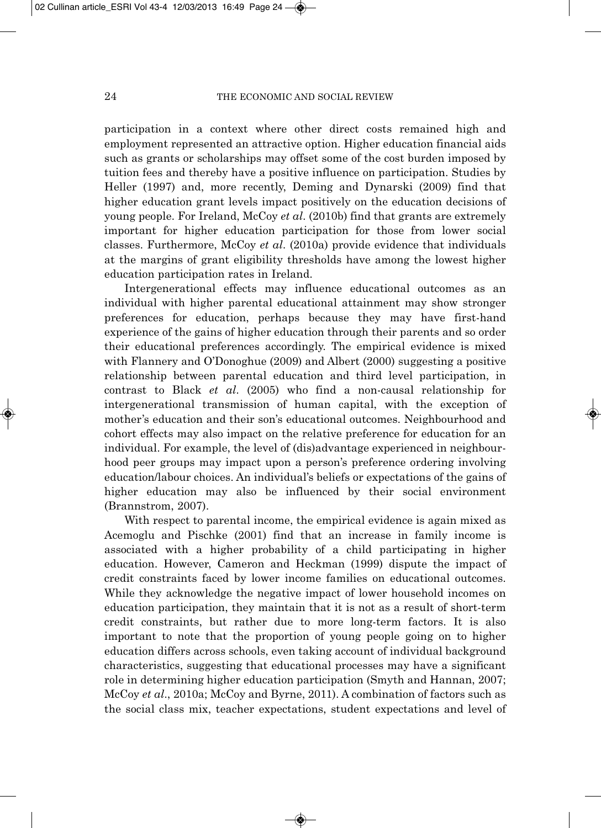participation in a context where other direct costs remained high and employment represented an attractive option. Higher education financial aids such as grants or scholarships may offset some of the cost burden imposed by tuition fees and thereby have a positive influence on participation. Studies by Heller (1997) and, more recently, Deming and Dynarski (2009) find that higher education grant levels impact positively on the education decisions of young people. For Ireland, McCoy *et al*. (2010b) find that grants are extremely important for higher education participation for those from lower social classes. Furthermore, McCoy *et al*. (2010a) provide evidence that individuals at the margins of grant eligibility thresholds have among the lowest higher education participation rates in Ireland.

Intergenerational effects may influence educational outcomes as an individual with higher parental educational attainment may show stronger preferences for education, perhaps because they may have first-hand experience of the gains of higher education through their parents and so order their educational preferences accordingly. The empirical evidence is mixed with Flannery and O'Donoghue (2009) and Albert (2000) suggesting a positive relationship between parental education and third level participation, in contrast to Black *et al*. (2005) who find a non-causal relationship for intergenerational transmission of human capital, with the exception of mother's education and their son's educational outcomes. Neighbourhood and cohort effects may also impact on the relative preference for education for an individual. For example, the level of (dis)advantage experienced in neighbour hood peer groups may impact upon a person's preference ordering involving education/labour choices. An individual's beliefs or expectations of the gains of higher education may also be influenced by their social environment (Brannstrom, 2007).

With respect to parental income, the empirical evidence is again mixed as Acemoglu and Pischke (2001) find that an increase in family income is associated with a higher probability of a child participating in higher education. However, Cameron and Heckman (1999) dispute the impact of credit constraints faced by lower income families on educational outcomes. While they acknowledge the negative impact of lower household incomes on education participation, they maintain that it is not as a result of short-term credit constraints, but rather due to more long-term factors. It is also important to note that the proportion of young people going on to higher education differs across schools, even taking account of individual background characteristics, suggesting that educational processes may have a significant role in determining higher education participation (Smyth and Hannan, 2007; McCoy *et al*., 2010a; McCoy and Byrne, 2011). A combination of factors such as the social class mix, teacher expectations, student expectations and level of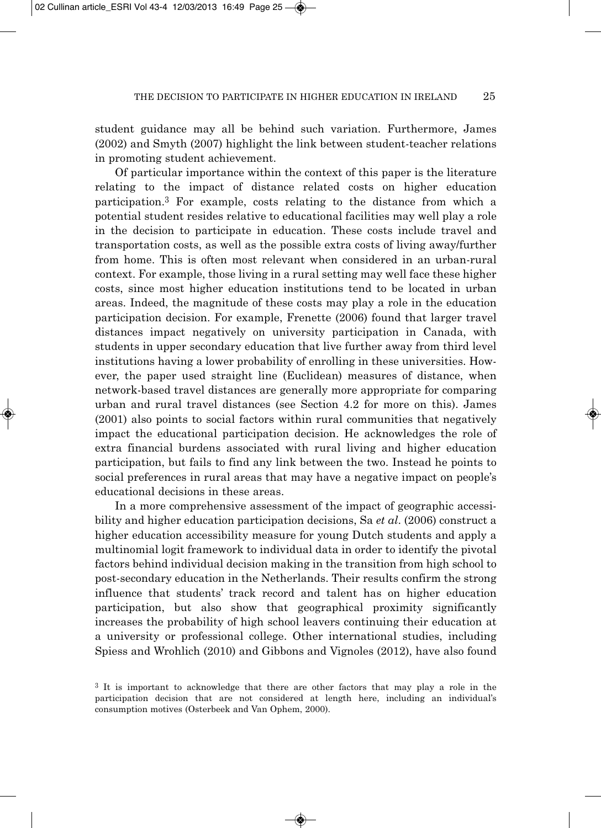student guidance may all be behind such variation. Furthermore, James (2002) and Smyth (2007) highlight the link between student-teacher relations in promoting student achievement.

Of particular importance within the context of this paper is the literature relating to the impact of distance related costs on higher education participation.3 For example, costs relating to the distance from which a potential student resides relative to educational facilities may well play a role in the decision to participate in education. These costs include travel and transportation costs, as well as the possible extra costs of living away/further from home. This is often most relevant when considered in an urban-rural context. For example, those living in a rural setting may well face these higher costs, since most higher education institutions tend to be located in urban areas. Indeed, the magnitude of these costs may play a role in the education participation decision. For example, Frenette (2006) found that larger travel distances impact negatively on university participation in Canada, with students in upper secondary education that live further away from third level institutions having a lower probability of enrolling in these universities. How ever, the paper used straight line (Euclidean) measures of distance, when network-based travel distances are generally more appropriate for comparing urban and rural travel distances (see Section 4.2 for more on this). James (2001) also points to social factors within rural communities that negatively impact the educational participation decision. He acknowledges the role of extra financial burdens associated with rural living and higher education participation, but fails to find any link between the two. Instead he points to social preferences in rural areas that may have a negative impact on people's educational decisions in these areas.

In a more comprehensive assessment of the impact of geographic accessi bility and higher education participation decisions, Sa *et al*. (2006) construct a higher education accessibility measure for young Dutch students and apply a multinomial logit framework to individual data in order to identify the pivotal factors behind individual decision making in the transition from high school to post-secondary education in the Netherlands. Their results confirm the strong influence that students' track record and talent has on higher education participation, but also show that geographical proximity significantly increases the probability of high school leavers continuing their education at a university or professional college. Other international studies, including Spiess and Wrohlich (2010) and Gibbons and Vignoles (2012), have also found

<sup>3</sup> It is important to acknowledge that there are other factors that may play a role in the participation decision that are not considered at length here, including an individual's consumption motives (Osterbeek and Van Ophem, 2000).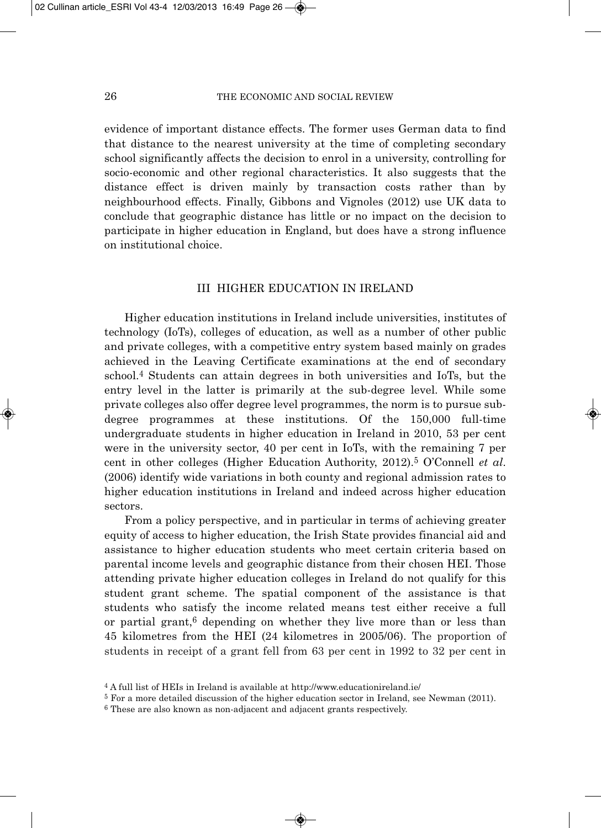evidence of important distance effects. The former uses German data to find that distance to the nearest university at the time of completing secondary school significantly affects the decision to enrol in a university, controlling for socio-economic and other regional characteristics. It also suggests that the distance effect is driven mainly by transaction costs rather than by neighbourhood effects. Finally, Gibbons and Vignoles (2012) use UK data to conclude that geographic distance has little or no impact on the decision to participate in higher education in England, but does have a strong influence on institutional choice.

## III HIGHER EDUCATION IN IRELAND

Higher education institutions in Ireland include universities, institutes of technology (IoTs), colleges of education, as well as a number of other public and private colleges, with a competitive entry system based mainly on grades achieved in the Leaving Certificate examinations at the end of secondary school.4 Students can attain degrees in both universities and IoTs, but the entry level in the latter is primarily at the sub-degree level. While some private colleges also offer degree level programmes, the norm is to pursue subdegree programmes at these institutions. Of the 150,000 full-time undergraduate students in higher education in Ireland in 2010, 53 per cent were in the university sector, 40 per cent in IoTs, with the remaining 7 per cent in other colleges (Higher Education Authority, 2012).5 O'Connell *et al*. (2006) identify wide variations in both county and regional admission rates to higher education institutions in Ireland and indeed across higher education sectors.

From a policy perspective, and in particular in terms of achieving greater equity of access to higher education, the Irish State provides financial aid and assistance to higher education students who meet certain criteria based on parental income levels and geographic distance from their chosen HEI. Those attending private higher education colleges in Ireland do not qualify for this student grant scheme. The spatial component of the assistance is that students who satisfy the income related means test either receive a full or partial grant,<sup>6</sup> depending on whether they live more than or less than 45 kilometres from the HEI (24 kilometres in 2005/06). The proportion of students in receipt of a grant fell from 63 per cent in 1992 to 32 per cent in

<sup>4</sup> A full list of HEIs in Ireland is available at http://www.educationireland.ie/

<sup>5</sup> For a more detailed discussion of the higher education sector in Ireland, see Newman (2011).

<sup>6</sup> These are also known as non-adjacent and adjacent grants respectively.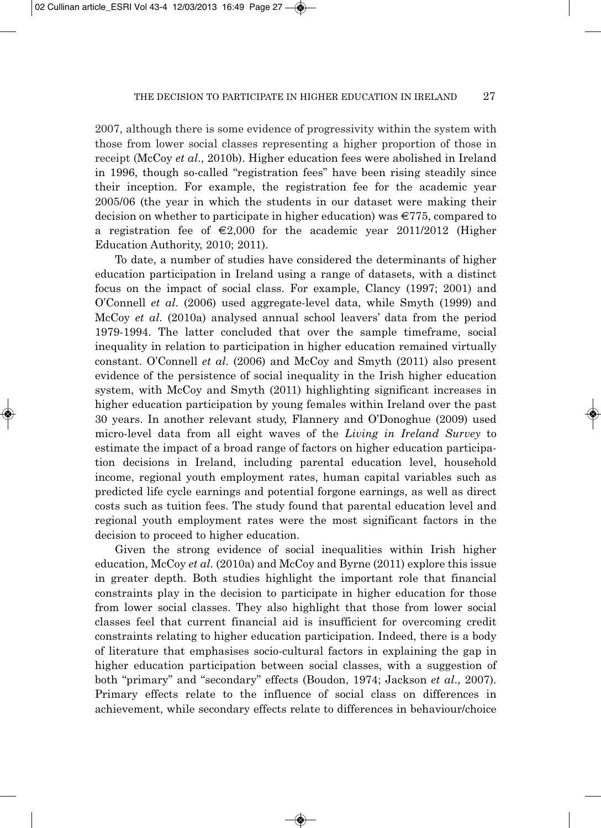2007, although there is some evidence of progressivity within the system with those from lower social classes representing a higher proportion of those in receipt (McCoy *et al*., 2010b). Higher education fees were abolished in Ireland in 1996, though so-called "registration fees" have been rising steadily since their inception. For example, the registration fee for the academic year 2005/06 (the year in which the students in our dataset were making their decision on whether to participate in higher education) was  $\epsilon$ 775, compared to a registration fee of  $\epsilon$ 2,000 for the academic year 2011/2012 (Higher Education Authority, 2010; 2011).

To date, a number of studies have considered the determinants of higher education participation in Ireland using a range of datasets, with a distinct focus on the impact of social class. For example, Clancy (1997; 2001) and O'Connell *et al*. (2006) used aggregate-level data, while Smyth (1999) and McCoy *et al*. (2010a) analysed annual school leavers' data from the period 1979-1994. The latter concluded that over the sample timeframe, social inequality in relation to participation in higher education remained virtually constant. O'Connell *et al*. (2006) and McCoy and Smyth (2011) also present evidence of the persistence of social inequality in the Irish higher education system, with McCoy and Smyth (2011) highlighting significant increases in higher education participation by young females within Ireland over the past 30 years. In another relevant study, Flannery and O'Donoghue (2009) used micro-level data from all eight waves of the *Living in Ireland Survey* to estimate the impact of a broad range of factors on higher education participa tion decisions in Ireland, including parental education level, household income, regional youth employment rates, human capital variables such as predicted life cycle earnings and potential forgone earnings, as well as direct costs such as tuition fees. The study found that parental education level and regional youth employment rates were the most significant factors in the decision to proceed to higher education.

Given the strong evidence of social inequalities within Irish higher education, McCoy *et al*. (2010a) and McCoy and Byrne (2011) explore this issue in greater depth. Both studies highlight the important role that financial constraints play in the decision to participate in higher education for those from lower social classes. They also highlight that those from lower social classes feel that current financial aid is insufficient for overcoming credit constraints relating to higher education participation. Indeed, there is a body of literature that emphasises socio-cultural factors in explaining the gap in higher education participation between social classes, with a suggestion of both "primary" and "secondary" effects (Boudon, 1974; Jackson *et al*., 2007). Primary effects relate to the influence of social class on differences in achievement, while secondary effects relate to differences in behaviour/choice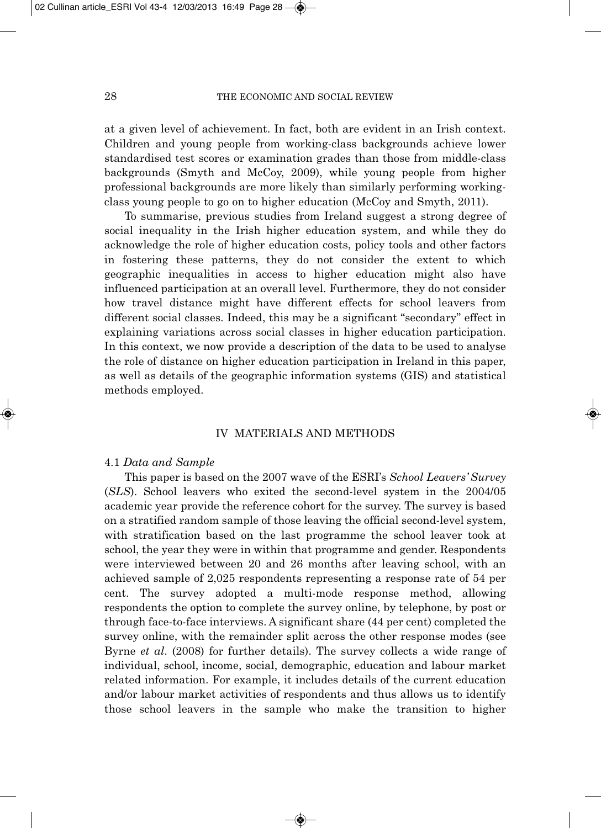at a given level of achievement. In fact, both are evident in an Irish context. Children and young people from working-class backgrounds achieve lower standardised test scores or examination grades than those from middle-class backgrounds (Smyth and McCoy, 2009), while young people from higher professional backgrounds are more likely than similarly performing workingclass young people to go on to higher education (McCoy and Smyth, 2011).

To summarise, previous studies from Ireland suggest a strong degree of social inequality in the Irish higher education system, and while they do acknowledge the role of higher education costs, policy tools and other factors in fostering these patterns, they do not consider the extent to which geographic inequalities in access to higher education might also have influenced participation at an overall level. Furthermore, they do not consider how travel distance might have different effects for school leavers from different social classes. Indeed, this may be a significant "secondary" effect in explaining variations across social classes in higher education participation. In this context, we now provide a description of the data to be used to analyse the role of distance on higher education participation in Ireland in this paper, as well as details of the geographic information systems (GIS) and statistical methods employed.

## IV MATERIALS AND METHODS

#### 4.1 *Data and Sample*

This paper is based on the 2007 wave of the ESRI's *School Leavers' Survey* (*SLS*). School leavers who exited the second-level system in the 2004/05 academic year provide the reference cohort for the survey. The survey is based on a stratified random sample of those leaving the official second-level system, with stratification based on the last programme the school leaver took at school, the year they were in within that programme and gender. Respondents were interviewed between 20 and 26 months after leaving school, with an achieved sample of 2,025 respondents representing a response rate of 54 per cent. The survey adopted a multi-mode response method, allowing respondents the option to complete the survey online, by telephone, by post or through face-to-face interviews. A significant share (44 per cent) completed the survey online, with the remainder split across the other response modes (see Byrne *et al*. (2008) for further details). The survey collects a wide range of individual, school, income, social, demographic, education and labour market related information. For example, it includes details of the current education and/or labour market activities of respondents and thus allows us to identify those school leavers in the sample who make the transition to higher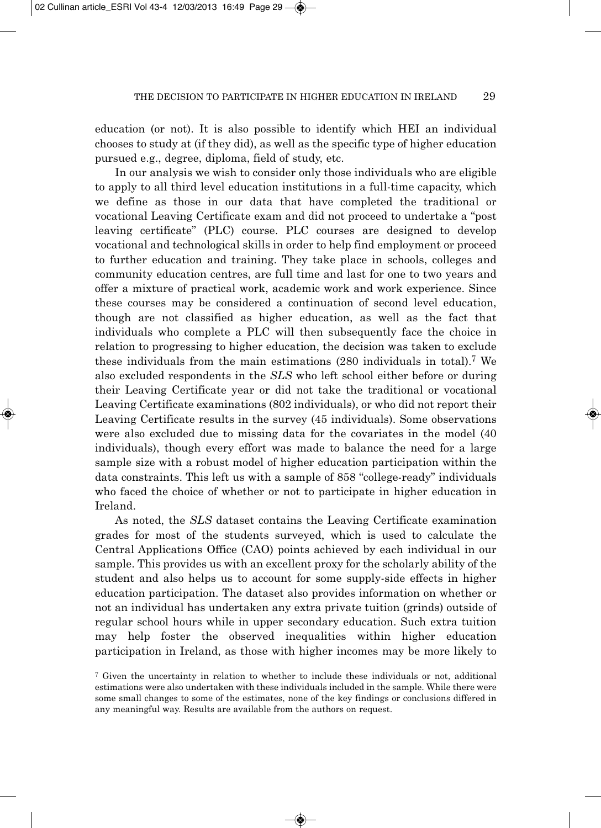education (or not). It is also possible to identify which HEI an individual chooses to study at (if they did), as well as the specific type of higher education pursued e.g., degree, diploma, field of study, etc.

In our analysis we wish to consider only those individuals who are eligible to apply to all third level education institutions in a full-time capacity, which we define as those in our data that have completed the traditional or vocational Leaving Certificate exam and did not proceed to undertake a "post leaving certificate" (PLC) course. PLC courses are designed to develop vocational and technological skills in order to help find employment or proceed to further education and training. They take place in schools, colleges and community education centres, are full time and last for one to two years and offer a mixture of practical work, academic work and work experience. Since these courses may be considered a continuation of second level education, though are not classified as higher education, as well as the fact that individuals who complete a PLC will then subsequently face the choice in relation to progressing to higher education, the decision was taken to exclude these individuals from the main estimations (280 individuals in total).7 We also excluded respondents in the *SLS* who left school either before or during their Leaving Certificate year or did not take the traditional or vocational Leaving Certificate examinations (802 individuals), or who did not report their Leaving Certificate results in the survey (45 individuals). Some observations were also excluded due to missing data for the covariates in the model (40 individuals), though every effort was made to balance the need for a large sample size with a robust model of higher education participation within the data constraints. This left us with a sample of 858 "college-ready" individuals who faced the choice of whether or not to participate in higher education in Ireland.

As noted, the *SLS* dataset contains the Leaving Certificate examination grades for most of the students surveyed, which is used to calculate the Central Applications Office (CAO) points achieved by each individual in our sample. This provides us with an excellent proxy for the scholarly ability of the student and also helps us to account for some supply-side effects in higher education participation. The dataset also provides information on whether or not an individual has undertaken any extra private tuition (grinds) outside of regular school hours while in upper secondary education. Such extra tuition may help foster the observed inequalities within higher education participation in Ireland, as those with higher incomes may be more likely to

<sup>7</sup> Given the uncertainty in relation to whether to include these individuals or not, additional estimations were also undertaken with these individuals included in the sample. While there were some small changes to some of the estimates, none of the key findings or conclusions differed in any meaningful way. Results are available from the authors on request.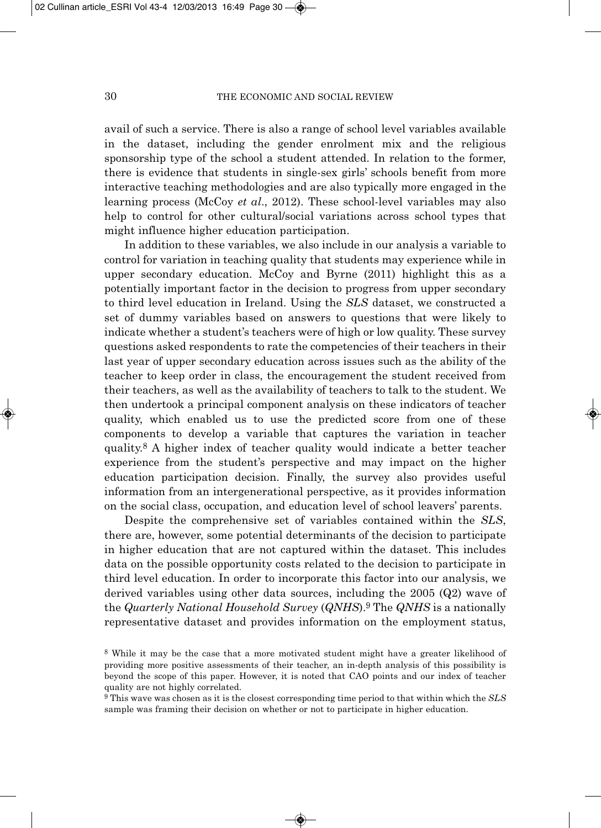avail of such a service. There is also a range of school level variables available in the dataset, including the gender enrolment mix and the religious sponsorship type of the school a student attended. In relation to the former, there is evidence that students in single-sex girls' schools benefit from more interactive teaching methodologies and are also typically more engaged in the learning process (McCoy *et al*., 2012). These school-level variables may also help to control for other cultural/social variations across school types that might influence higher education participation.

In addition to these variables, we also include in our analysis a variable to control for variation in teaching quality that students may experience while in upper secondary education. McCoy and Byrne (2011) highlight this as a potentially important factor in the decision to progress from upper secondary to third level education in Ireland. Using the *SLS* dataset, we constructed a set of dummy variables based on answers to questions that were likely to indicate whether a student's teachers were of high or low quality. These survey questions asked respondents to rate the competencies of their teachers in their last year of upper secondary education across issues such as the ability of the teacher to keep order in class, the encouragement the student received from their teachers, as well as the availability of teachers to talk to the student. We then undertook a principal component analysis on these indicators of teacher quality, which enabled us to use the predicted score from one of these components to develop a variable that captures the variation in teacher quality.8 A higher index of teacher quality would indicate a better teacher experience from the student's perspective and may impact on the higher education participation decision. Finally, the survey also provides useful information from an intergenerational perspective, as it provides information on the social class, occupation, and education level of school leavers' parents.

Despite the comprehensive set of variables contained within the *SLS*, there are, however, some potential determinants of the decision to participate in higher education that are not captured within the dataset. This includes data on the possible opportunity costs related to the decision to participate in third level education. In order to incorporate this factor into our analysis, we derived variables using other data sources, including the 2005 (Q2) wave of the *Quarterly National Household Survey* (*QNHS*).9 The *QNHS* is a nationally representative dataset and provides information on the employment status,

<sup>8</sup> While it may be the case that a more motivated student might have a greater likelihood of providing more positive assessments of their teacher, an in-depth analysis of this possibility is beyond the scope of this paper. However, it is noted that CAO points and our index of teacher quality are not highly correlated.

<sup>9</sup> This wave was chosen as it is the closest corresponding time period to that within which the *SLS* sample was framing their decision on whether or not to participate in higher education.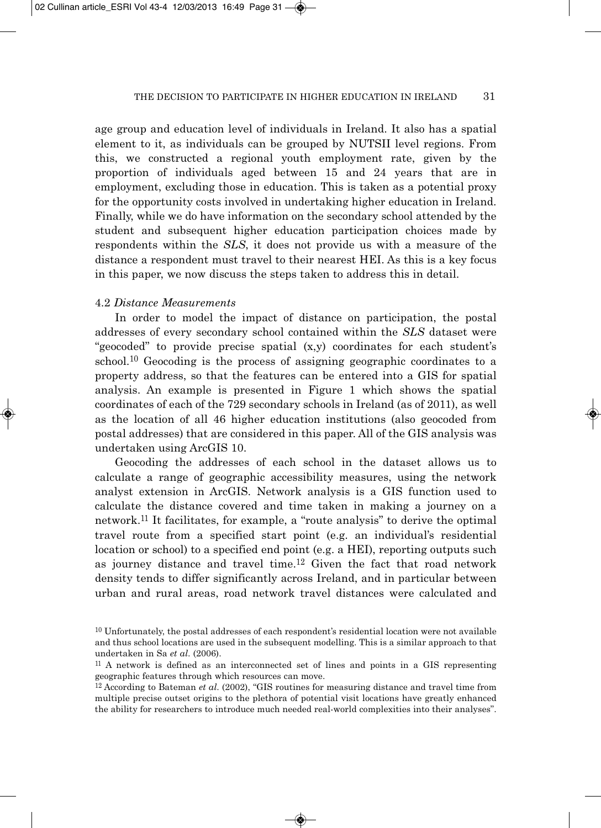age group and education level of individuals in Ireland. It also has a spatial element to it, as individuals can be grouped by NUTSII level regions. From this, we constructed a regional youth employment rate, given by the proportion of individuals aged between 15 and 24 years that are in employment, excluding those in education. This is taken as a potential proxy for the opportunity costs involved in undertaking higher education in Ireland. Finally, while we do have information on the secondary school attended by the student and subsequent higher education participation choices made by respondents within the *SLS*, it does not provide us with a measure of the distance a respondent must travel to their nearest HEI. As this is a key focus in this paper, we now discuss the steps taken to address this in detail.

## 4.2 *Distance Measurements*

In order to model the impact of distance on participation, the postal addresses of every secondary school contained within the *SLS* dataset were "geocoded" to provide precise spatial (x,y) coordinates for each student's school.<sup>10</sup> Geocoding is the process of assigning geographic coordinates to a property address, so that the features can be entered into a GIS for spatial analysis. An example is presented in Figure 1 which shows the spatial coordinates of each of the 729 secondary schools in Ireland (as of 2011), as well as the location of all 46 higher education institutions (also geocoded from postal addresses) that are considered in this paper. All of the GIS analysis was undertaken using ArcGIS 10.

Geocoding the addresses of each school in the dataset allows us to calculate a range of geographic accessibility measures, using the network analyst extension in ArcGIS. Network analysis is a GIS function used to calculate the distance covered and time taken in making a journey on a network.11 It facilitates, for example, a "route analysis" to derive the optimal travel route from a specified start point (e.g. an individual's residential location or school) to a specified end point (e.g. a HEI), reporting outputs such as journey distance and travel time.12 Given the fact that road network density tends to differ significantly across Ireland, and in particular between urban and rural areas, road network travel distances were calculated and

 $10$  Unfortunately, the postal addresses of each respondent's residential location were not available and thus school locations are used in the subsequent modelling. This is a similar approach to that undertaken in Sa *et al*. (2006).

<sup>11</sup> A network is defined as an interconnected set of lines and points in a GIS representing geographic features through which resources can move.

<sup>12</sup> According to Bateman *et al*. (2002), "GIS routines for measuring distance and travel time from multiple precise outset origins to the plethora of potential visit locations have greatly enhanced the ability for researchers to introduce much needed real-world complexities into their analyses".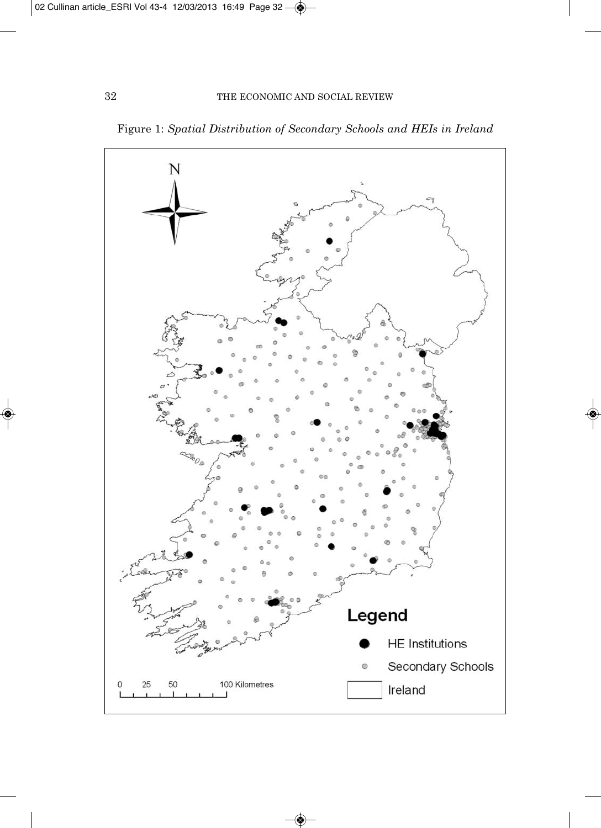

Figure 1: *Spatial Distribution of Secondary Schools and HEIs in Ireland*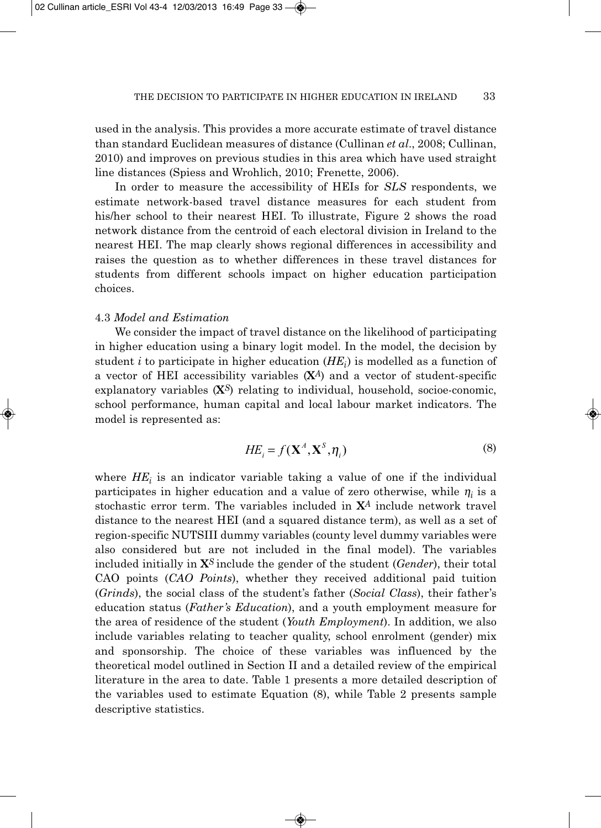used in the analysis. This provides a more accurate estimate of travel distance than standard Euclidean measures of distance (Cullinan *et al*., 2008; Cullinan, 2010) and improves on previous studies in this area which have used straight line distances (Spiess and Wrohlich, 2010; Frenette, 2006).

In order to measure the accessibility of HEIs for *SLS* respondents, we estimate network-based travel distance measures for each student from his/her school to their nearest HEI. To illustrate, Figure 2 shows the road network distance from the centroid of each electoral division in Ireland to the nearest HEI. The map clearly shows regional differences in accessibility and raises the question as to whether differences in these travel distances for students from different schools impact on higher education participation choices.

#### 4.3 *Model and Estimation*

We consider the impact of travel distance on the likelihood of participating in higher education using a binary logit model. In the model, the decision by student *i* to participate in higher education (*HEi*) is modelled as a function of a vector of HEI accessibility variables (**X***<sup>A</sup>*) and a vector of student-specific explanatory variables (**X***<sup>S</sup>*) relating to individual, household, socioe-conomic, school performance, human capital and local labour market indicators. The model is represented as:

$$
HE_i = f(\mathbf{X}^A, \mathbf{X}^S, \eta_i)
$$
\n(8)

where  $HE_i$  is an indicator variable taking a value of one if the individual participates in higher education and a value of zero otherwise, while  $\eta_i$  is a stochastic error term. The variables included in **X***<sup>A</sup>* include network travel distance to the nearest HEI (and a squared distance term), as well as a set of region-specific NUTSIII dummy variables (county level dummy variables were also considered but are not included in the final model). The variables included initially in **X***<sup>S</sup>*include the gender of the student (*Gender*), their total CAO points (*CAO Points*), whether they received additional paid tuition (*Grinds*), the social class of the student's father (*Social Class*), their father's education status (*Father's Education*), and a youth employment measure for the area of residence of the student (*Youth Employment*). In addition, we also include variables relating to teacher quality, school enrolment (gender) mix and sponsorship. The choice of these variables was influenced by the theoretical model outlined in Section II and a detailed review of the empirical literature in the area to date. Table 1 presents a more detailed description of the variables used to estimate Equation (8), while Table 2 presents sample descriptive statistics.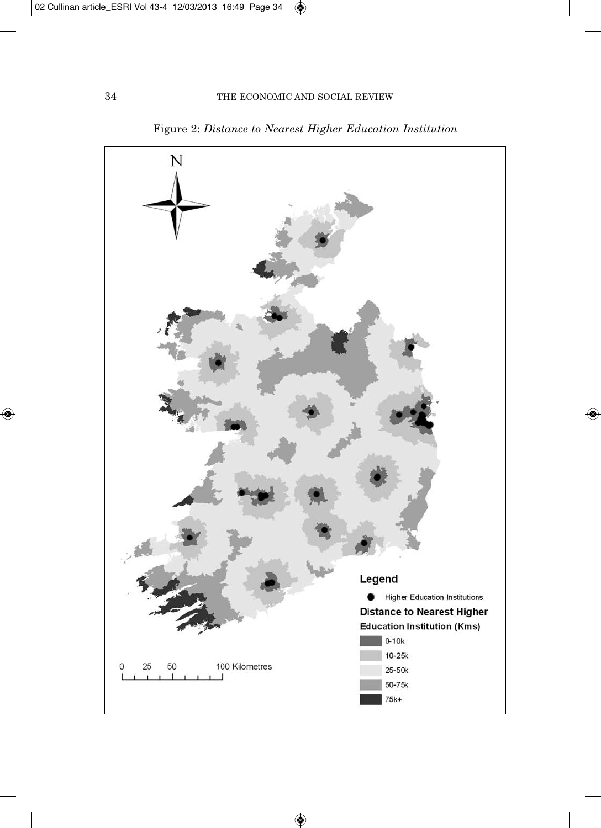

Figure 2: *Distance to Nearest Higher Education Institution*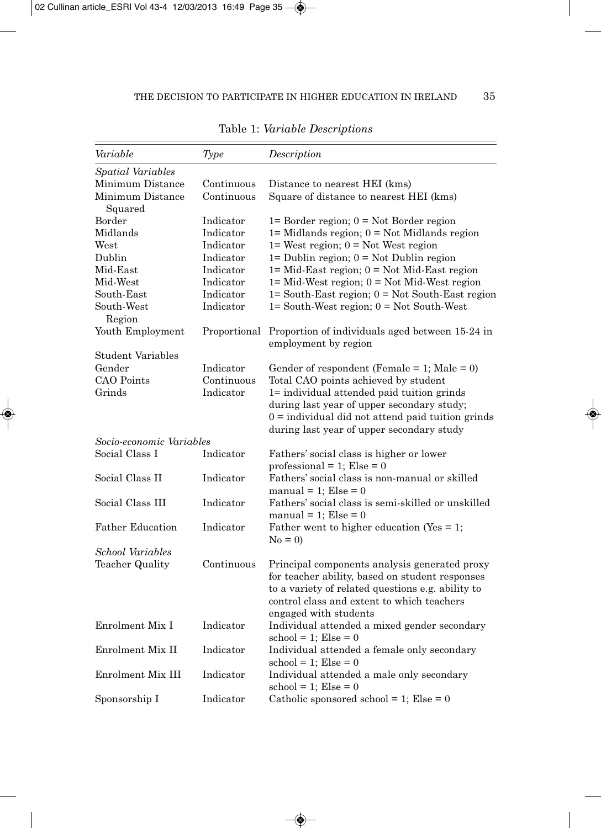| Variable                    | Type         | Description                                                                                                                                                                                                                  |
|-----------------------------|--------------|------------------------------------------------------------------------------------------------------------------------------------------------------------------------------------------------------------------------------|
| Spatial Variables           |              |                                                                                                                                                                                                                              |
| Minimum Distance            | Continuous   | Distance to nearest HEI (kms)                                                                                                                                                                                                |
| Minimum Distance<br>Squared | Continuous   | Square of distance to nearest HEI (kms)                                                                                                                                                                                      |
| Border                      | Indicator    | $1=$ Border region; $0 =$ Not Border region                                                                                                                                                                                  |
| Midlands                    | Indicator    | $1=$ Midlands region; $0 =$ Not Midlands region                                                                                                                                                                              |
| West                        | Indicator    | $1 =$ West region; $0 =$ Not West region                                                                                                                                                                                     |
| Dublin                      | Indicator    | $1 =$ Dublin region; $0 =$ Not Dublin region                                                                                                                                                                                 |
| Mid-East                    | Indicator    | $1 = Mid\text{-}East region$ ; $0 = Not Mid\text{-}East region$                                                                                                                                                              |
| Mid-West                    | Indicator    | $1 = Mid-West region$ ; $0 = Not Mid-West region$                                                                                                                                                                            |
| South-East                  | Indicator    | $1 =$ South-East region; $0 =$ Not South-East region                                                                                                                                                                         |
| South-West                  | Indicator    | $1 =$ South-West region; $0 =$ Not South-West                                                                                                                                                                                |
| Region                      |              |                                                                                                                                                                                                                              |
| Youth Employment            | Proportional | Proportion of individuals aged between 15-24 in<br>employment by region                                                                                                                                                      |
| Student Variables           |              |                                                                                                                                                                                                                              |
| Gender                      | Indicator    | Gender of respondent (Female = 1; Male = 0)                                                                                                                                                                                  |
| CAO Points                  | Continuous   | Total CAO points achieved by student                                                                                                                                                                                         |
| Grinds                      | Indicator    | 1= individual attended paid tuition grinds<br>during last year of upper secondary study;<br>$0 =$ individual did not attend paid tuition grinds<br>during last year of upper secondary study                                 |
| Socio-economic Variables    |              |                                                                                                                                                                                                                              |
| Social Class I              | Indicator    | Fathers' social class is higher or lower<br>professional = 1; Else = 0                                                                                                                                                       |
| Social Class II             | Indicator    | Fathers' social class is non-manual or skilled<br>manual = 1; $Else = 0$                                                                                                                                                     |
| Social Class III            | Indicator    | Fathers' social class is semi-skilled or unskilled<br>manual = 1; Else = $0$                                                                                                                                                 |
| <b>Father Education</b>     | Indicator    | Father went to higher education (Yes $= 1$ ;<br>$No = 0$                                                                                                                                                                     |
| School Variables            |              |                                                                                                                                                                                                                              |
| <b>Teacher Quality</b>      | Continuous   | Principal components analysis generated proxy<br>for teacher ability, based on student responses<br>to a variety of related questions e.g. ability to<br>control class and extent to which teachers<br>engaged with students |
| Enrolment Mix I             | Indicator    | Individual attended a mixed gender secondary<br>$\mathrm{school} = 1$ ; $\mathrm{Else} = 0$                                                                                                                                  |
| Enrolment Mix II            | Indicator    | Individual attended a female only secondary<br>$\mathrm{school} = 1$ ; $\mathrm{Else} = 0$                                                                                                                                   |
| Enrolment Mix III           | Indicator    | Individual attended a male only secondary<br>$\mathrm{school} = 1$ ; $\mathrm{Else} = 0$                                                                                                                                     |
| Sponsorship I               | Indicator    | Catholic sponsored school = 1; $Else = 0$                                                                                                                                                                                    |

Table 1: *Variable Descriptions*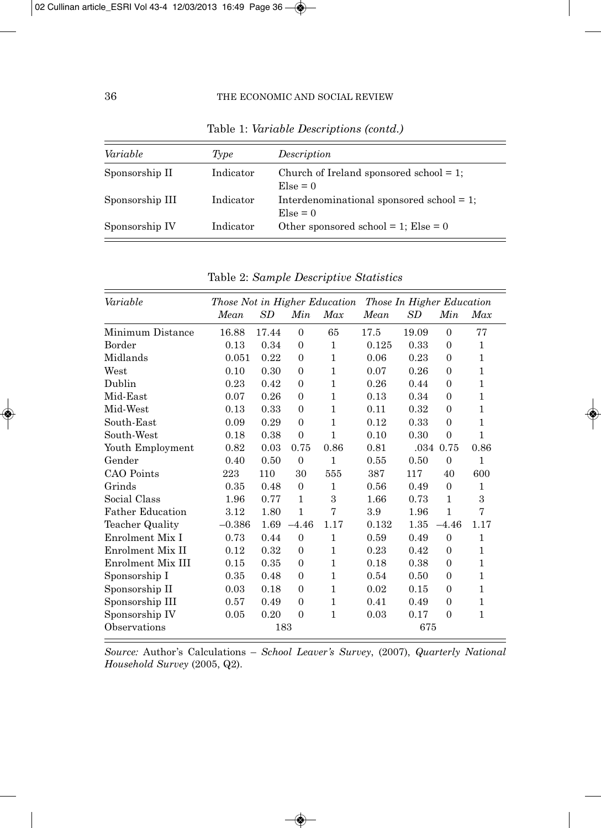| Variable        | Type      | Description                                                |
|-----------------|-----------|------------------------------------------------------------|
| Sponsorship II  | Indicator | Church of Ireland sponsored school $= 1$ ;<br>$E$ se = 0   |
| Sponsorship III | Indicator | Interdenominational sponsored school $= 1$ ;<br>$E$ se = 0 |
| Sponsorship IV  | Indicator | Other sponsored school = 1; Else = $0$                     |

Table 1: *Variable Descriptions (contd.)*

| Variable                | Those Not in Higher Education<br>Those In Higher Education |           |                |              |       |       |                |              |
|-------------------------|------------------------------------------------------------|-----------|----------------|--------------|-------|-------|----------------|--------------|
|                         | Mean                                                       | <i>SD</i> | Min            | Max          | Mean  | SD.   | Min            | Max          |
| Minimum Distance        | 16.88                                                      | 17.44     | $\theta$       | 65           | 17.5  | 19.09 | $\Omega$       | 77           |
| Border                  | 0.13                                                       | 0.34      | $\overline{0}$ | 1            | 0.125 | 0.33  | $\theta$       | $\mathbf{1}$ |
| Midlands                | 0.051                                                      | 0.22      | $\Omega$       | 1            | 0.06  | 0.23  | $\Omega$       | $\mathbf{1}$ |
| West                    | 0.10                                                       | 0.30      | $\overline{0}$ | 1            | 0.07  | 0.26  | $\theta$       | $\mathbf{1}$ |
| Dublin                  | 0.23                                                       | 0.42      | $\overline{0}$ | 1            | 0.26  | 0.44  | $\theta$       | $\mathbf{1}$ |
| Mid-East                | 0.07                                                       | 0.26      | $\Omega$       | 1            | 0.13  | 0.34  | $\Omega$       | 1            |
| Mid-West                | 0.13                                                       | 0.33      | $\overline{0}$ | 1            | 0.11  | 0.32  | $\overline{0}$ | $\mathbf{1}$ |
| South-East              | 0.09                                                       | 0.29      | $\Omega$       | 1            | 0.12  | 0.33  | $\Omega$       | $\mathbf{1}$ |
| South-West              | 0.18                                                       | 0.38      | $\overline{0}$ | 1            | 0.10  | 0.30  | $\overline{0}$ | $\mathbf{1}$ |
| Youth Employment        | 0.82                                                       | 0.03      | 0.75           | 0.86         | 0.81  |       | .034 0.75      | 0.86         |
| Gender                  | 0.40                                                       | 0.50      | $\mathbf{0}$   | $\mathbf{1}$ | 0.55  | 0.50  | $\Omega$       | 1            |
| CAO Points              | 223                                                        | 110       | 30             | 555          | 387   | 117   | 40             | 600          |
| Grinds                  | 0.35                                                       | 0.48      | $\Omega$       | 1            | 0.56  | 0.49  | $\theta$       | $\mathbf{1}$ |
| Social Class            | 1.96                                                       | 0.77      | 1              | 3            | 1.66  | 0.73  | $\mathbf{1}$   | 3            |
| <b>Father Education</b> | 3.12                                                       | 1.80      | 1              | 7            | 3.9   | 1.96  | $\mathbf{1}$   | 7            |
| Teacher Quality         | $-0.386$                                                   | 1.69      | $-4.46$        | 1.17         | 0.132 | 1.35  | $-4.46$        | 1.17         |
| Enrolment Mix I         | 0.73                                                       | 0.44      | $\theta$       | 1            | 0.59  | 0.49  | $\theta$       | $\mathbf{1}$ |
| Enrolment Mix II        | 0.12                                                       | 0.32      | $\overline{0}$ | 1            | 0.23  | 0.42  | $\theta$       | $\mathbf{1}$ |
| Enrolment Mix III       | 0.15                                                       | 0.35      | $\Omega$       | 1            | 0.18  | 0.38  | $\Omega$       | 1            |
| Sponsorship I           | 0.35                                                       | 0.48      | $\overline{0}$ | 1            | 0.54  | 0.50  | $\theta$       | 1            |
| Sponsorship II          | 0.03                                                       | 0.18      | $\overline{0}$ | 1            | 0.02  | 0.15  | $\theta$       | 1            |
| Sponsorship III         | 0.57                                                       | 0.49      | $\Omega$       | 1            | 0.41  | 0.49  | $\Omega$       | 1            |
| Sponsorship IV          | 0.05                                                       | 0.20      | $\overline{0}$ | 1            | 0.03  | 0.17  | $\Omega$       | $\mathbf{1}$ |
| Observations            |                                                            | 183       |                |              |       | 675   |                |              |

Table 2: *Sample Descriptive Statistics*

*Source:* Author's Calculations – *School Leaver's Survey*, (2007), *Quarterly National Household Survey* (2005, Q2).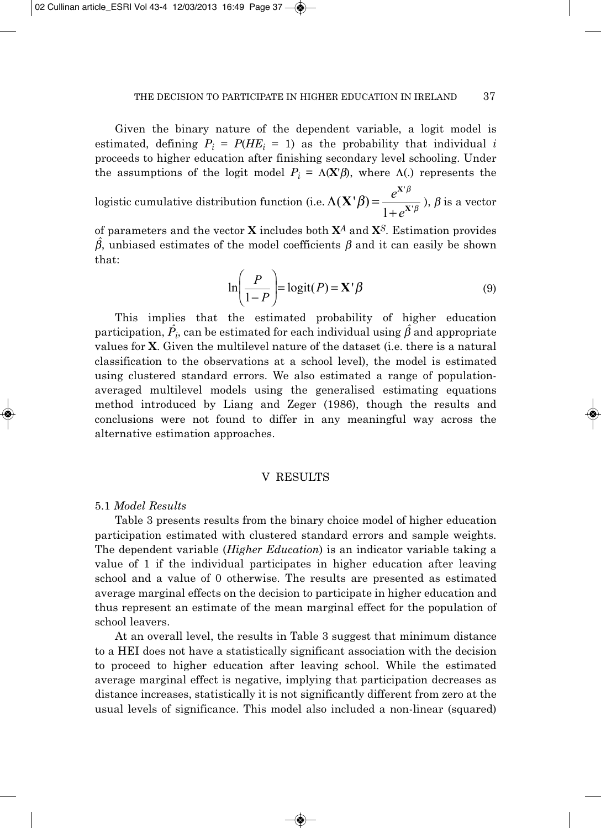Given the binary nature of the dependent variable, a logit model is estimated, defining  $P_i = P(HE_i = 1)$  as the probability that individual *i* proceeds to higher education after finishing secondary level schooling. Under the assumptions of the logit model  $P_i = \Lambda(X|\beta)$ , where  $\Lambda(.)$  represents the

logistic cumulative distribution function (i.e.  $\Lambda(\mathbf{X}^{\dagger}\boldsymbol{\beta}) = \frac{e^{\mathbf{X}^{\dagger}\boldsymbol{\beta}}}{\Lambda(\mathbf{X}^{\dagger}\boldsymbol{\beta})}$ ),  $\boldsymbol{\beta}$  is a vector  $\mathbf{X}'\boldsymbol{\beta} = \frac{\mathbf{C}}{1 - \mathbf{X}'}$ **X**  $\beta = \frac{c}{1 + e^X}$ β  $=\frac{e^{X'\beta}}{1+e^{X'\beta}}$ 1 *e*

of parameters and the vector **X** includes both **X***<sup>A</sup>* and **X***<sup>S</sup>*. Estimation provides  $\hat{\beta}$ , unbiased estimates of the model coefficients  $\beta$  and it can easily be shown that:

$$
\ln\left(\frac{P}{1-P}\right) = \text{logit}(P) = \mathbf{X}'\boldsymbol{\beta}
$$
\n(9)

This implies that the estimated probability of higher education participation,  $\hat{P_i}$ , can be estimated for each individual using  $\hat{\beta}$  and appropriate values for **X**. Given the multilevel nature of the dataset (i.e. there is a natural classification to the observations at a school level), the model is estimated using clustered standard errors. We also estimated a range of populationaveraged multilevel models using the generalised estimating equations method introduced by Liang and Zeger (1986), though the results and conclusions were not found to differ in any meaningful way across the alternative estimation approaches.

## V RESULTS

#### 5.1 *Model Results*

Table 3 presents results from the binary choice model of higher education participation estimated with clustered standard errors and sample weights. The dependent variable (*Higher Education*) is an indicator variable taking a value of 1 if the individual participates in higher education after leaving school and a value of 0 otherwise. The results are presented as estimated average marginal effects on the decision to participate in higher education and thus represent an estimate of the mean marginal effect for the population of school leavers.

At an overall level, the results in Table 3 suggest that minimum distance to a HEI does not have a statistically significant association with the decision to proceed to higher education after leaving school. While the estimated average marginal effect is negative, implying that participation decreases as distance increases, statistically it is not significantly different from zero at the usual levels of significance. This model also included a non-linear (squared)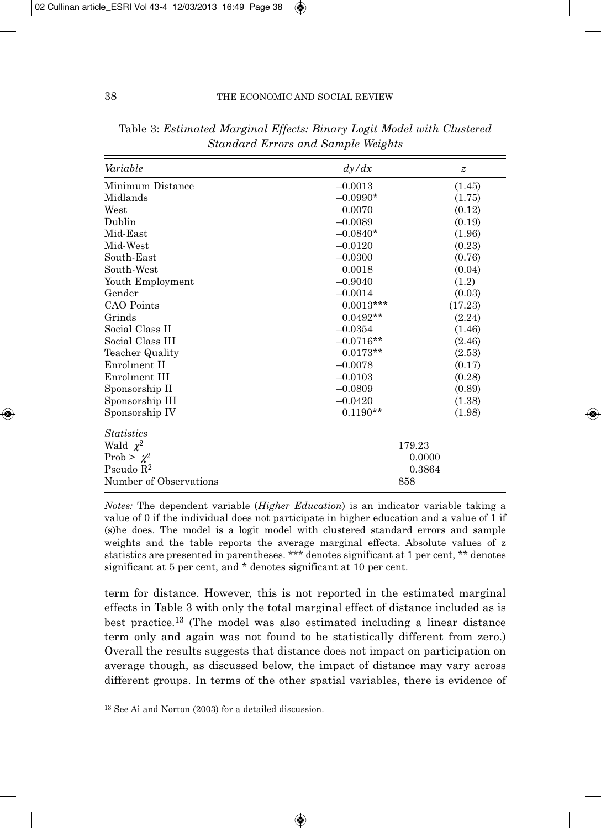| Variable               | dy/dx       | $\boldsymbol{z}$ |
|------------------------|-------------|------------------|
| Minimum Distance       | $-0.0013$   | (1.45)           |
| Midlands               | $-0.0990*$  | (1.75)           |
| West                   | 0.0070      | (0.12)           |
| Dublin                 | $-0.0089$   | (0.19)           |
| Mid-East               | $-0.0840*$  | (1.96)           |
| Mid-West               | $-0.0120$   | (0.23)           |
| South-East             | $-0.0300$   | (0.76)           |
| South-West             | 0.0018      | (0.04)           |
| Youth Employment       | $-0.9040$   | (1.2)            |
| Gender                 | $-0.0014$   | (0.03)           |
| CAO Points             | $0.0013***$ | (17.23)          |
| Grinds                 | $0.0492**$  | (2.24)           |
| Social Class II        | $-0.0354$   | (1.46)           |
| Social Class III       | $-0.0716**$ | (2.46)           |
| Teacher Quality        | $0.0173**$  | (2.53)           |
| Enrolment II           | $-0.0078$   | (0.17)           |
| Enrolment III          | $-0.0103$   | (0.28)           |
| Sponsorship II         | $-0.0809$   | (0.89)           |
| Sponsorship III        | $-0.0420$   | (1.38)           |
| Sponsorship IV         | $0.1190**$  | (1.98)           |
| <i>Statistics</i>      |             |                  |
| Wald $\chi^2$          | 179.23      |                  |
| Prob > $\chi^2$        |             | 0.0000           |
| Pseudo $R2$            |             | 0.3864           |
| Number of Observations | 858         |                  |

Table 3: *Estimated Marginal Effects: Binary Logit Model with Clustered Standard Errors and Sample Weights*

*Notes:* The dependent variable (*Higher Education*) is an indicator variable taking a value of 0 if the individual does not participate in higher education and a value of 1 if (s)he does. The model is a logit model with clustered standard errors and sample weights and the table reports the average marginal effects. Absolute values of z statistics are presented in parentheses. \*\*\* denotes significant at 1 per cent, \*\* denotes significant at 5 per cent, and \* denotes significant at 10 per cent.

term for distance. However, this is not reported in the estimated marginal effects in Table 3 with only the total marginal effect of distance included as is best practice.13 (The model was also estimated including a linear distance term only and again was not found to be statistically different from zero.) Overall the results suggests that distance does not impact on participation on average though, as discussed below, the impact of distance may vary across different groups. In terms of the other spatial variables, there is evidence of

<sup>13</sup> See Ai and Norton (2003) for a detailed discussion.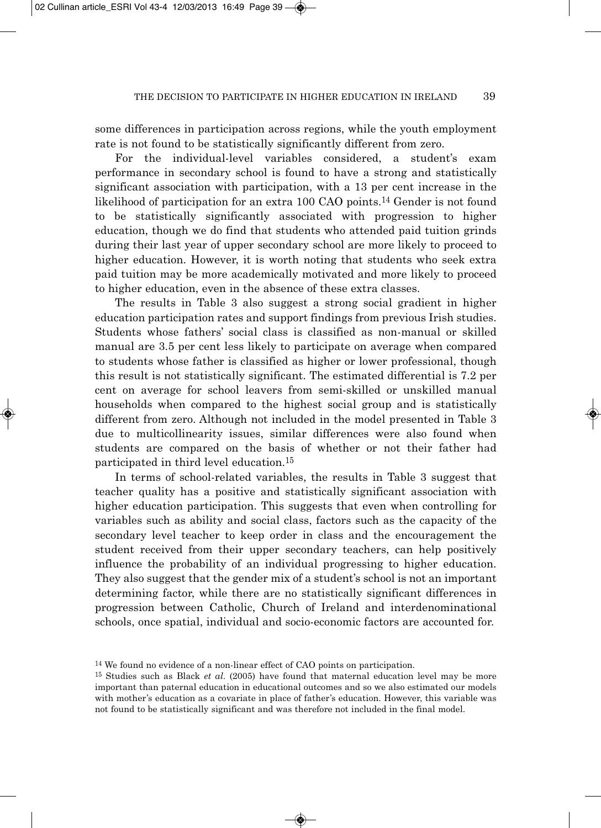some differences in participation across regions, while the youth employment rate is not found to be statistically significantly different from zero.

For the individual-level variables considered, a student's exam performance in secondary school is found to have a strong and statistically significant association with participation, with a 13 per cent increase in the likelihood of participation for an extra 100 CAO points.14 Gender is not found to be statistically significantly associated with progression to higher education, though we do find that students who attended paid tuition grinds during their last year of upper secondary school are more likely to proceed to higher education. However, it is worth noting that students who seek extra paid tuition may be more academically motivated and more likely to proceed to higher education, even in the absence of these extra classes.

The results in Table 3 also suggest a strong social gradient in higher education participation rates and support findings from previous Irish studies. Students whose fathers' social class is classified as non-manual or skilled manual are 3.5 per cent less likely to participate on average when compared to students whose father is classified as higher or lower professional, though this result is not statistically significant. The estimated differential is 7.2 per cent on average for school leavers from semi-skilled or unskilled manual households when compared to the highest social group and is statistically different from zero. Although not included in the model presented in Table 3 due to multicollinearity issues, similar differences were also found when students are compared on the basis of whether or not their father had participated in third level education.15

In terms of school-related variables, the results in Table 3 suggest that teacher quality has a positive and statistically significant association with higher education participation. This suggests that even when controlling for variables such as ability and social class, factors such as the capacity of the secondary level teacher to keep order in class and the encouragement the student received from their upper secondary teachers, can help positively influence the probability of an individual progressing to higher education. They also suggest that the gender mix of a student's school is not an important determining factor, while there are no statistically significant differences in progression between Catholic, Church of Ireland and interdenominational schools, once spatial, individual and socio-economic factors are accounted for.

<sup>14</sup> We found no evidence of a non-linear effect of CAO points on participation.

<sup>15</sup> Studies such as Black *et al*. (2005) have found that maternal education level may be more important than paternal education in educational outcomes and so we also estimated our models with mother's education as a covariate in place of father's education. However, this variable was not found to be statistically significant and was therefore not included in the final model.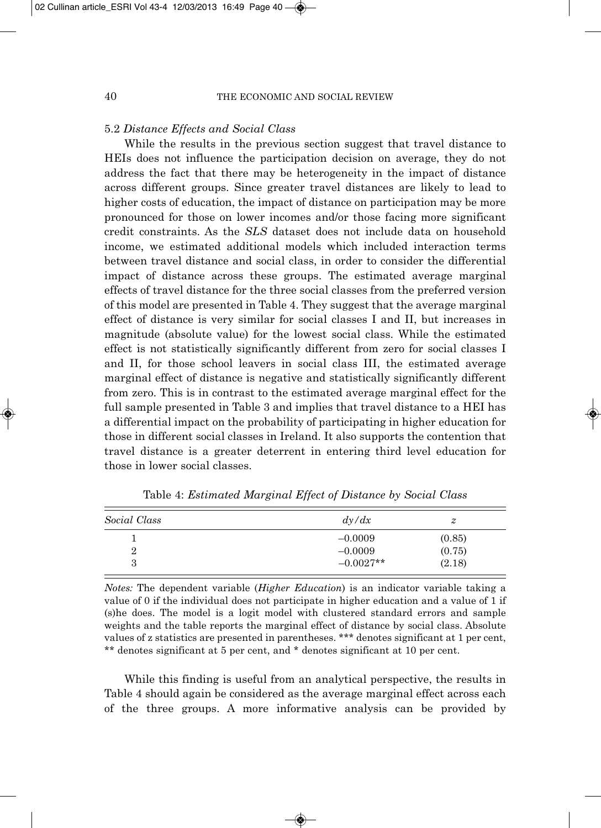#### 5.2 *Distance Effects and Social Class*

While the results in the previous section suggest that travel distance to HEIs does not influence the participation decision on average, they do not address the fact that there may be heterogeneity in the impact of distance across different groups. Since greater travel distances are likely to lead to higher costs of education, the impact of distance on participation may be more pronounced for those on lower incomes and/or those facing more significant credit constraints. As the *SLS* dataset does not include data on household income, we estimated additional models which included interaction terms between travel distance and social class, in order to consider the differential impact of distance across these groups. The estimated average marginal effects of travel distance for the three social classes from the preferred version of this model are presented in Table 4. They suggest that the average marginal effect of distance is very similar for social classes I and II, but increases in magnitude (absolute value) for the lowest social class. While the estimated effect is not statistically significantly different from zero for social classes I and II, for those school leavers in social class III, the estimated average marginal effect of distance is negative and statistically significantly different from zero. This is in contrast to the estimated average marginal effect for the full sample presented in Table 3 and implies that travel distance to a HEI has a differential impact on the probability of participating in higher education for those in different social classes in Ireland. It also supports the contention that travel distance is a greater deterrent in entering third level education for those in lower social classes.

| Social Class | dy/dx       | z      |
|--------------|-------------|--------|
|              | $-0.0009$   | (0.85) |
| 2            | $-0.0009$   | (0.75) |
| 3            | $-0.0027**$ | (2.18) |

Table 4: *Estimated Marginal Effect of Distance by Social Class* 

*Notes:* The dependent variable (*Higher Education*) is an indicator variable taking a value of 0 if the individual does not participate in higher education and a value of 1 if (s)he does. The model is a logit model with clustered standard errors and sample weights and the table reports the marginal effect of distance by social class. Absolute values of z statistics are presented in parentheses. \*\*\* denotes significant at 1 per cent, \*\* denotes significant at 5 per cent, and \* denotes significant at 10 per cent.

While this finding is useful from an analytical perspective, the results in Table 4 should again be considered as the average marginal effect across each of the three groups. A more informative analysis can be provided by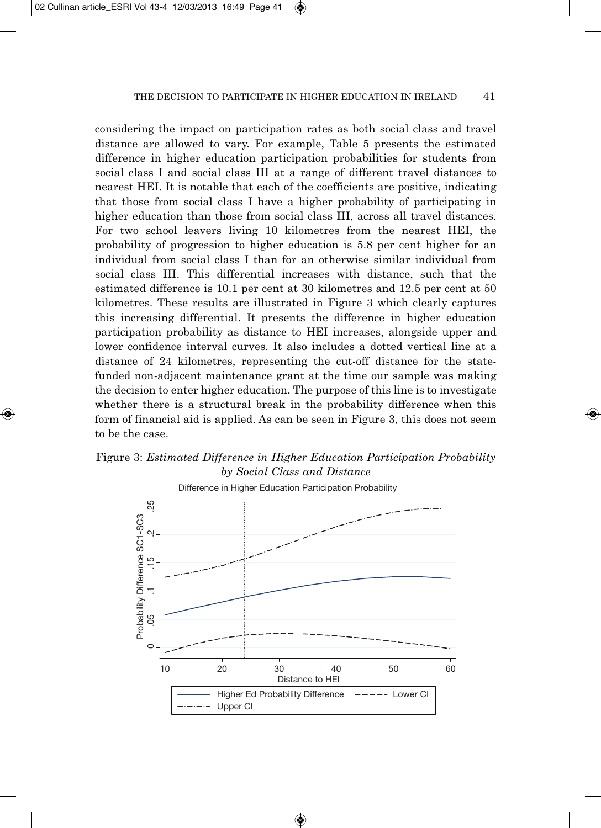considering the impact on participation rates as both social class and travel distance are allowed to vary. For example, Table 5 presents the estimated difference in higher education participation probabilities for students from social class I and social class III at a range of different travel distances to nearest HEI. It is notable that each of the coefficients are positive, indicating that those from social class I have a higher probability of participating in higher education than those from social class III, across all travel distances. For two school leavers living 10 kilometres from the nearest HEI, the probability of progression to higher education is 5.8 per cent higher for an individual from social class I than for an otherwise similar individual from social class III. This differential increases with distance, such that the estimated difference is 10.1 per cent at 30 kilometres and 12.5 per cent at 50 kilometres. These results are illustrated in Figure 3 which clearly captures this increasing differential. It presents the difference in higher education participation probability as distance to HEI increases, alongside upper and lower confidence interval curves. It also includes a dotted vertical line at a distance of 24 kilometres, representing the cut-off distance for the statefunded non-adjacent maintenance grant at the time our sample was making the decision to enter higher education. The purpose of this line is to investigate whether there is a structural break in the probability difference when this form of financial aid is applied. As can be seen in Figure 3, this does not seem to be the case.

## Figure 3: *Estimated Difference in Higher Education Participation Probability by Social Class and Distance*

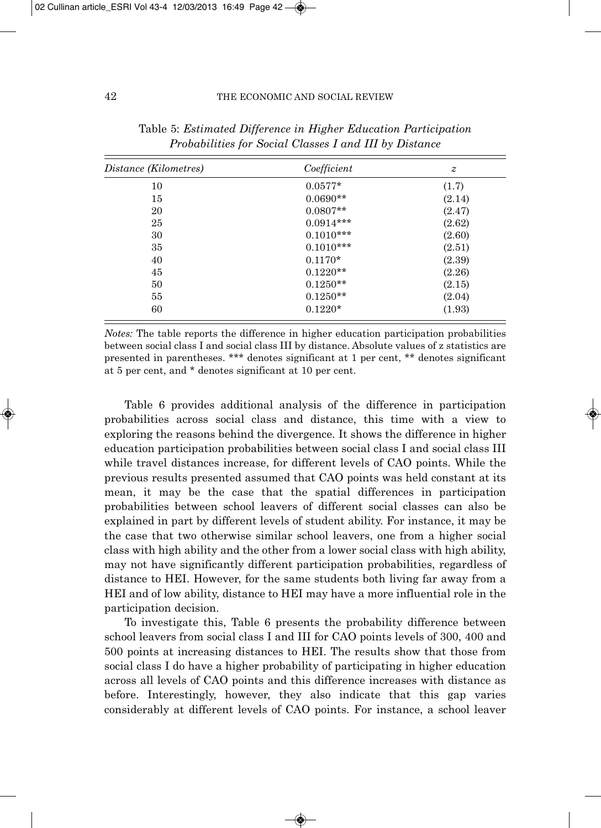| Distance (Kilometres) | Coefficient | $\boldsymbol{z}$ |  |
|-----------------------|-------------|------------------|--|
| 10                    | $0.0577*$   | (1.7)            |  |
| 15                    | $0.0690**$  | (2.14)           |  |
| 20                    | $0.0807**$  | (2.47)           |  |
| 25                    | $0.0914***$ | (2.62)           |  |
| 30                    | $0.1010***$ | (2.60)           |  |
| 35                    | $0.1010***$ | (2.51)           |  |
| 40                    | $0.1170*$   | (2.39)           |  |
| 45                    | $0.1220**$  | (2.26)           |  |
| 50                    | $0.1250**$  | (2.15)           |  |
| 55                    | $0.1250**$  | (2.04)           |  |
| 60                    | $0.1220*$   | (1.93)           |  |

Table 5: *Estimated Difference in Higher Education Participation Probabilities for Social Classes I and III by Distance* 

*Notes:* The table reports the difference in higher education participation probabilities between social class I and social class III by distance. Absolute values of z statistics are presented in parentheses. \*\*\* denotes significant at 1 per cent, \*\* denotes significant at 5 per cent, and \* denotes significant at 10 per cent.

Table 6 provides additional analysis of the difference in participation probabilities across social class and distance, this time with a view to exploring the reasons behind the divergence. It shows the difference in higher education participation probabilities between social class I and social class III while travel distances increase, for different levels of CAO points. While the previous results presented assumed that CAO points was held constant at its mean, it may be the case that the spatial differences in participation probabilities between school leavers of different social classes can also be explained in part by different levels of student ability. For instance, it may be the case that two otherwise similar school leavers, one from a higher social class with high ability and the other from a lower social class with high ability, may not have significantly different participation probabilities, regardless of distance to HEI. However, for the same students both living far away from a HEI and of low ability, distance to HEI may have a more influential role in the participation decision.

To investigate this, Table 6 presents the probability difference between school leavers from social class I and III for CAO points levels of 300, 400 and 500 points at increasing distances to HEI. The results show that those from social class I do have a higher probability of participating in higher education across all levels of CAO points and this difference increases with distance as before. Interestingly, however, they also indicate that this gap varies considerably at different levels of CAO points. For instance, a school leaver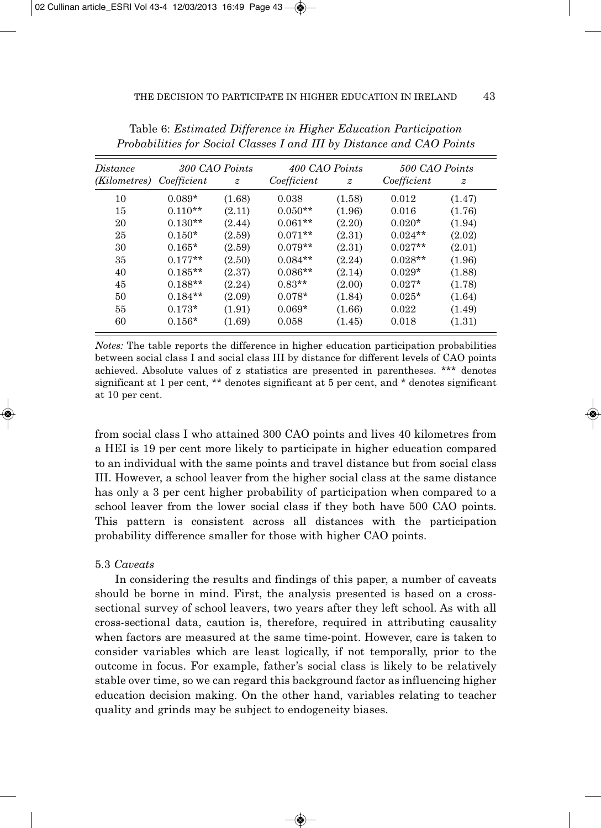| Distance                 | 300 CAO Points |                  | 400 CAO Points |                  | 500 CAO Points |                  |  |
|--------------------------|----------------|------------------|----------------|------------------|----------------|------------------|--|
| (Kilometres) Coefficient |                | $\boldsymbol{z}$ | Coefficient    | $\boldsymbol{z}$ | Coefficient    | $\boldsymbol{z}$ |  |
| 10                       | $0.089*$       | (1.68)           | 0.038          | (1.58)           | 0.012          | (1.47)           |  |
| 15                       | $0.110**$      | (2.11)           | $0.050**$      | (1.96)           | 0.016          | (1.76)           |  |
| 20                       | $0.130**$      | (2.44)           | $0.061**$      | (2.20)           | $0.020*$       | (1.94)           |  |
| 25                       | $0.150*$       | (2.59)           | $0.071**$      | (2.31)           | $0.024**$      | (2.02)           |  |
| 30                       | $0.165*$       | (2.59)           | $0.079**$      | (2.31)           | $0.027**$      | (2.01)           |  |
| 35                       | $0.177**$      | (2.50)           | $0.084**$      | (2.24)           | $0.028**$      | (1.96)           |  |
| 40                       | $0.185**$      | (2.37)           | $0.086**$      | (2.14)           | $0.029*$       | (1.88)           |  |
| 45                       | $0.188**$      | (2.24)           | $0.83**$       | (2.00)           | $0.027*$       | (1.78)           |  |
| 50                       | $0.184**$      | (2.09)           | $0.078*$       | (1.84)           | $0.025*$       | (1.64)           |  |
| 55                       | $0.173*$       | (1.91)           | $0.069*$       | (1.66)           | 0.022          | (1.49)           |  |
| 60                       | $0.156*$       | (1.69)           | 0.058          | (1.45)           | 0.018          | (1.31)           |  |

Table 6: *Estimated Difference in Higher Education Participation Probabilities for Social Classes I and III by Distance and CAO Points*

*Notes:* The table reports the difference in higher education participation probabilities between social class I and social class III by distance for different levels of CAO points achieved. Absolute values of z statistics are presented in parentheses. \*\*\* denotes significant at 1 per cent, \*\* denotes significant at 5 per cent, and \* denotes significant at 10 per cent.

from social class I who attained 300 CAO points and lives 40 kilometres from a HEI is 19 per cent more likely to participate in higher education compared to an individual with the same points and travel distance but from social class III. However, a school leaver from the higher social class at the same distance has only a 3 per cent higher probability of participation when compared to a school leaver from the lower social class if they both have 500 CAO points. This pattern is consistent across all distances with the participation probability difference smaller for those with higher CAO points.

#### 5.3 *Caveats*

In considering the results and findings of this paper, a number of caveats should be borne in mind. First, the analysis presented is based on a crosssectional survey of school leavers, two years after they left school. As with all cross-sectional data, caution is, therefore, required in attributing causality when factors are measured at the same time-point. However, care is taken to consider variables which are least logically, if not temporally, prior to the outcome in focus. For example, father's social class is likely to be relatively stable over time, so we can regard this background factor as influencing higher education decision making. On the other hand, variables relating to teacher quality and grinds may be subject to endogeneity biases.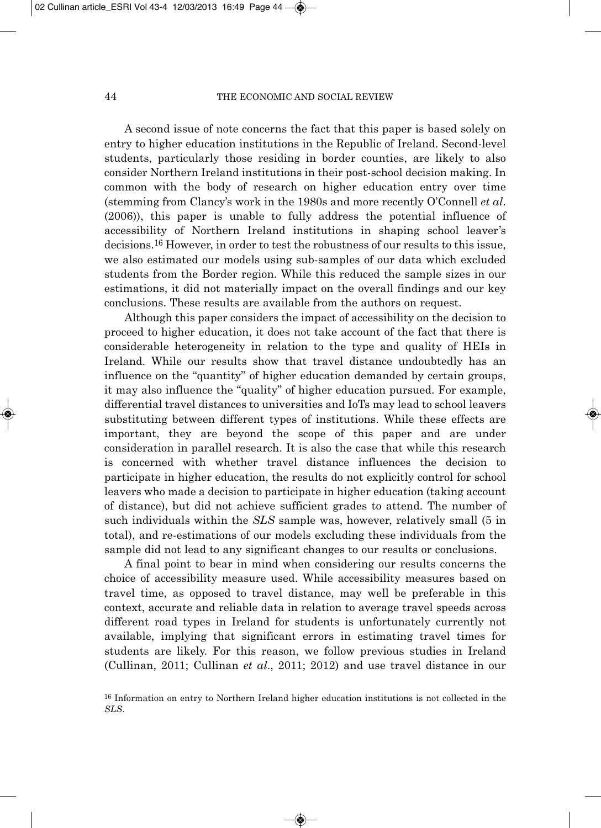A second issue of note concerns the fact that this paper is based solely on entry to higher education institutions in the Republic of Ireland. Second-level students, particularly those residing in border counties, are likely to also consider Northern Ireland institutions in their post-school decision making. In common with the body of research on higher education entry over time (stemming from Clancy's work in the 1980s and more recently O'Connell *et al*. (2006)), this paper is unable to fully address the potential influence of accessibility of Northern Ireland institutions in shaping school leaver's decisions.16 However, in order to test the robustness of our results to this issue, we also estimated our models using sub-samples of our data which excluded students from the Border region. While this reduced the sample sizes in our estimations, it did not materially impact on the overall findings and our key conclusions. These results are available from the authors on request.

Although this paper considers the impact of accessibility on the decision to proceed to higher education, it does not take account of the fact that there is considerable heterogeneity in relation to the type and quality of HEIs in Ireland. While our results show that travel distance undoubtedly has an influence on the "quantity" of higher education demanded by certain groups, it may also influence the "quality" of higher education pursued. For example, differential travel distances to universities and IoTs may lead to school leavers substituting between different types of institutions. While these effects are important, they are beyond the scope of this paper and are under consideration in parallel research. It is also the case that while this research is concerned with whether travel distance influences the decision to participate in higher education, the results do not explicitly control for school leavers who made a decision to participate in higher education (taking account of distance), but did not achieve sufficient grades to attend. The number of such individuals within the *SLS* sample was, however, relatively small (5 in total), and re-estimations of our models excluding these individuals from the sample did not lead to any significant changes to our results or conclusions.

A final point to bear in mind when considering our results concerns the choice of accessibility measure used. While accessibility measures based on travel time, as opposed to travel distance, may well be preferable in this context, accurate and reliable data in relation to average travel speeds across different road types in Ireland for students is unfortunately currently not available, implying that significant errors in estimating travel times for students are likely. For this reason, we follow previous studies in Ireland (Cullinan, 2011; Cullinan *et al*., 2011; 2012) and use travel distance in our

<sup>16</sup> Information on entry to Northern Ireland higher education institutions is not collected in the *SLS*.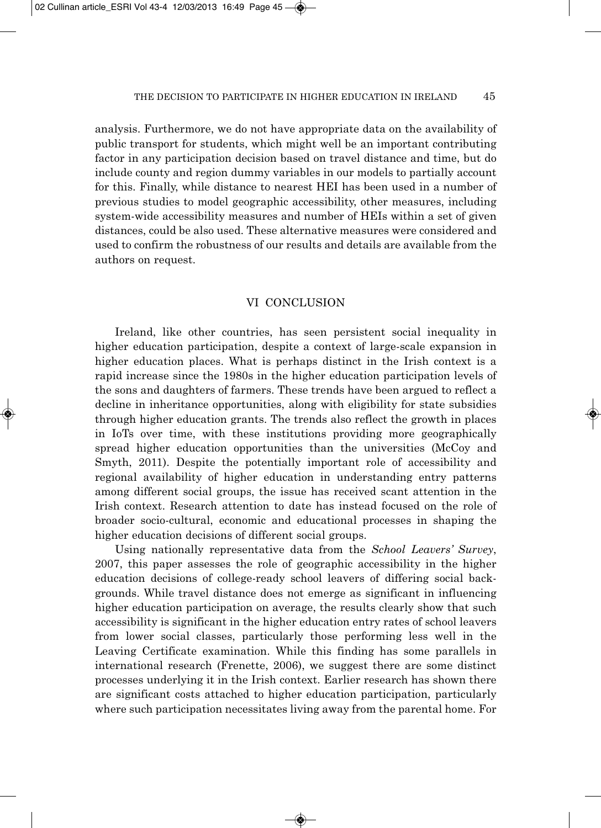analysis. Furthermore, we do not have appropriate data on the availability of public transport for students, which might well be an important contributing factor in any participation decision based on travel distance and time, but do include county and region dummy variables in our models to partially account for this. Finally, while distance to nearest HEI has been used in a number of previous studies to model geographic accessibility, other measures, including system-wide accessibility measures and number of HEIs within a set of given distances, could be also used. These alternative measures were considered and used to confirm the robustness of our results and details are available from the authors on request.

## VI CONCLUSION

Ireland, like other countries, has seen persistent social inequality in higher education participation, despite a context of large-scale expansion in higher education places. What is perhaps distinct in the Irish context is a rapid increase since the 1980s in the higher education participation levels of the sons and daughters of farmers. These trends have been argued to reflect a decline in inheritance opportunities, along with eligibility for state subsidies through higher education grants. The trends also reflect the growth in places in IoTs over time, with these institutions providing more geographically spread higher education opportunities than the universities (McCoy and Smyth, 2011). Despite the potentially important role of accessibility and regional availability of higher education in understanding entry patterns among different social groups, the issue has received scant attention in the Irish context. Research attention to date has instead focused on the role of broader socio-cultural, economic and educational processes in shaping the higher education decisions of different social groups.

Using nationally representative data from the *School Leavers' Survey*, 2007, this paper assesses the role of geographic accessibility in the higher education decisions of college-ready school leavers of differing social back grounds. While travel distance does not emerge as significant in influencing higher education participation on average, the results clearly show that such accessibility is significant in the higher education entry rates of school leavers from lower social classes, particularly those performing less well in the Leaving Certificate examination. While this finding has some parallels in international research (Frenette, 2006), we suggest there are some distinct processes underlying it in the Irish context. Earlier research has shown there are significant costs attached to higher education participation, particularly where such participation necessitates living away from the parental home. For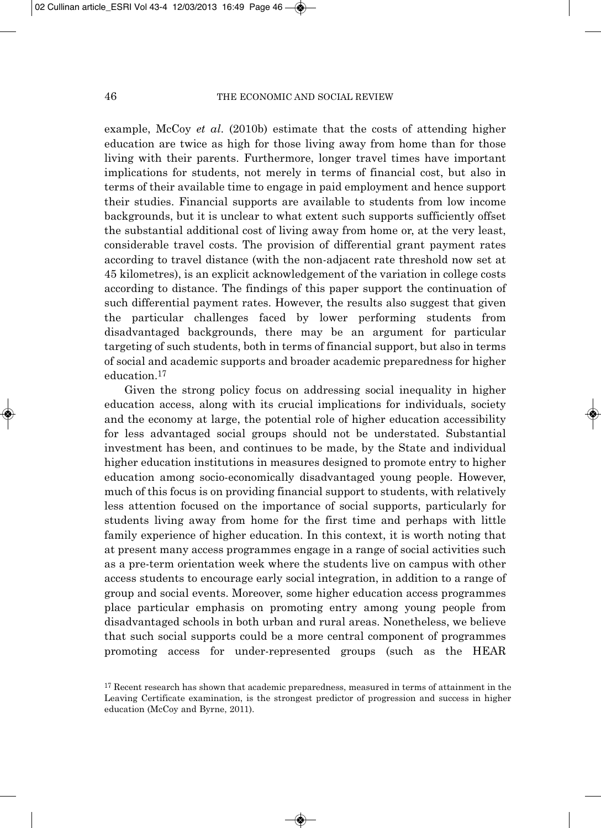example, McCoy *et al*. (2010b) estimate that the costs of attending higher education are twice as high for those living away from home than for those living with their parents. Furthermore, longer travel times have important implications for students, not merely in terms of financial cost, but also in terms of their available time to engage in paid employment and hence support their studies. Financial supports are available to students from low income backgrounds, but it is unclear to what extent such supports sufficiently offset the substantial additional cost of living away from home or, at the very least, considerable travel costs. The provision of differential grant payment rates according to travel distance (with the non-adjacent rate threshold now set at 45 kilometres), is an explicit acknowledgement of the variation in college costs according to distance. The findings of this paper support the continuation of such differential payment rates. However, the results also suggest that given the particular challenges faced by lower performing students from disadvantaged backgrounds, there may be an argument for particular targeting of such students, both in terms of financial support, but also in terms of social and academic supports and broader academic preparedness for higher education.17

Given the strong policy focus on addressing social inequality in higher education access, along with its crucial implications for individuals, society and the economy at large, the potential role of higher education accessibility for less advantaged social groups should not be understated. Substantial investment has been, and continues to be made, by the State and individual higher education institutions in measures designed to promote entry to higher education among socio-economically disadvantaged young people. However, much of this focus is on providing financial support to students, with relatively less attention focused on the importance of social supports, particularly for students living away from home for the first time and perhaps with little family experience of higher education. In this context, it is worth noting that at present many access programmes engage in a range of social activities such as a pre-term orientation week where the students live on campus with other access students to encourage early social integration, in addition to a range of group and social events. Moreover, some higher education access programmes place particular emphasis on promoting entry among young people from disadvantaged schools in both urban and rural areas. Nonetheless, we believe that such social supports could be a more central component of programmes promoting access for under-represented groups (such as the HEAR

<sup>&</sup>lt;sup>17</sup> Recent research has shown that academic preparedness, measured in terms of attainment in the Leaving Certificate examination, is the strongest predictor of progression and success in higher education (McCoy and Byrne, 2011).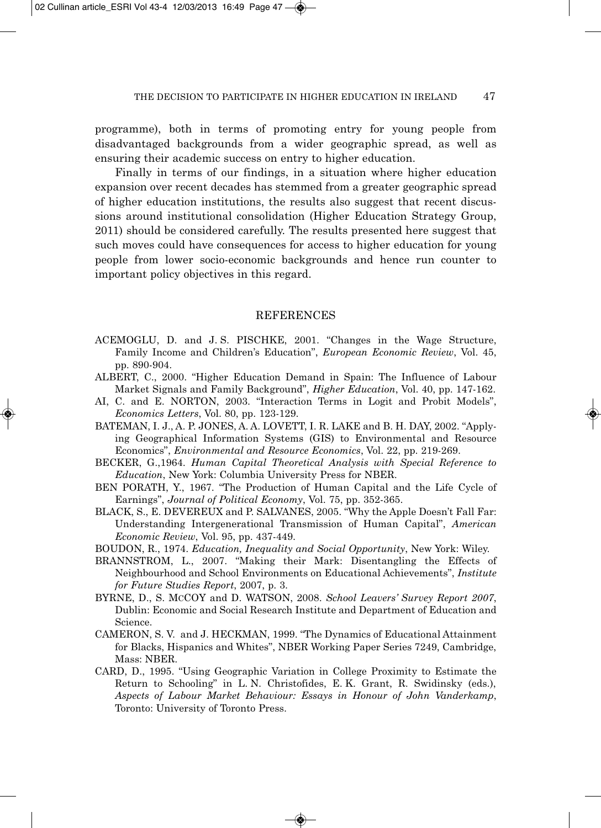programme), both in terms of promoting entry for young people from disadvantaged backgrounds from a wider geographic spread, as well as ensuring their academic success on entry to higher education.

Finally in terms of our findings, in a situation where higher education expansion over recent decades has stemmed from a greater geographic spread of higher education institutions, the results also suggest that recent discus sions around institutional consolidation (Higher Education Strategy Group, 2011) should be considered carefully. The results presented here suggest that such moves could have consequences for access to higher education for young people from lower socio-economic backgrounds and hence run counter to important policy objectives in this regard.

#### **REFERENCES**

- ACEMOGLU, D. and J. S. PISCHKE, 2001. "Changes in the Wage Structure, Family Income and Children's Education", *European Economic Review*, Vol. 45, pp. 890-904.
- ALBERT, C., 2000. "Higher Education Demand in Spain: The Influence of Labour Market Signals and Family Background", *Higher Education*, Vol. 40, pp. 147-162.
- AI, C. and E. NORTON, 2003. "Interaction Terms in Logit and Probit Models", *Economics Letters*, Vol. 80, pp. 123-129.
- BATEMAN, I. J., A. P. JONES, A. A. LOVETT, I. R. LAKE and B. H. DAY, 2002. "Applying Geographical Information Systems (GIS) to Environmental and Resource Economics", *Environmental and Resource Economics*, Vol. 22, pp. 219-269.
- BECKER, G.,1964. *Human Capital Theoretical Analysis with Special Reference to Education*, New York: Columbia University Press for NBER.
- BEN PORATH, Y., 1967. "The Production of Human Capital and the Life Cycle of Earnings", *Journal of Political Economy*, Vol. 75, pp. 352-365.
- BLACK, S., E. DEVEREUX and P. SALVANES, 2005. "Why the Apple Doesn't Fall Far: Understanding Intergenerational Transmission of Human Capital", *American Economic Review*, Vol. 95, pp. 437-449.
- BOUDON, R., 1974. *Education, Inequality and Social Opportunity*, New York: Wiley.
- BRANNSTROM, L., 2007. "Making their Mark: Disentangling the Effects of Neighbourhood and School Environments on Educational Achievements", *Institute for Future Studies Report*, 2007, p. 3.
- BYRNE, D., S. MCCOY and D. WATSON, 2008. *School Leavers' Survey Report 2007*, Dublin: Economic and Social Research Institute and Department of Education and Science.
- CAMERON, S. V. and J. HECKMAN, 1999. "The Dynamics of Educational Attainment for Blacks, Hispanics and Whites", NBER Working Paper Series 7249, Cambridge, Mass: NBER.
- CARD, D., 1995. "Using Geographic Variation in College Proximity to Estimate the Return to Schooling" in L. N. Christofides, E. K. Grant, R. Swidinsky (eds.), *Aspects of Labour Market Behaviour: Essays in Honour of John Vanderkamp*, Toronto: University of Toronto Press.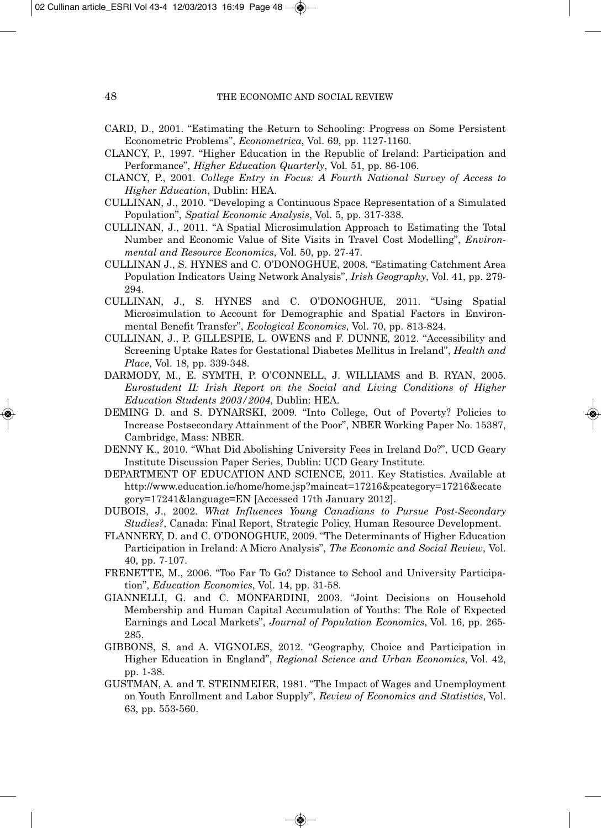- CARD, D., 2001. "Estimating the Return to Schooling: Progress on Some Persistent Econometric Problems", *Econometrica*, Vol. 69, pp. 1127-1160.
- CLANCY, P., 1997. "Higher Education in the Republic of Ireland: Participation and Performance", *Higher Education Quarterly*, Vol. 51, pp. 86-106.
- CLANCY, P., 2001. *College Entry in Focus: A Fourth National Survey of Access to Higher Education*, Dublin: HEA.
- CULLINAN, J., 2010. "Developing a Continuous Space Representation of a Simulated Population", *Spatial Economic Analysis*, Vol. 5, pp. 317-338.
- CULLINAN, J., 2011. "A Spatial Microsimulation Approach to Estimating the Total Number and Economic Value of Site Visits in Travel Cost Modelling", *Environ mental and Resource Economics*, Vol. 50, pp. 27-47.
- CULLINAN J., S. HYNES and C. O'DONOGHUE, 2008. "Estimating Catchment Area Population Indicators Using Network Analysis", *Irish Geography*, Vol. 41, pp. 279- 294.
- CULLINAN, J., S. HYNES and C. O'DONOGHUE, 2011. "Using Spatial Microsimulation to Account for Demographic and Spatial Factors in Environmental Benefit Transfer", *Ecological Economics*, Vol. 70, pp. 813-824.
- CULLINAN, J., P. GILLESPIE, L. OWENS and F. DUNNE, 2012. "Accessibility and Screening Uptake Rates for Gestational Diabetes Mellitus in Ireland", *Health and Place*, Vol. 18, pp. 339-348.
- DARMODY, M., E. SYMTH, P. O'CONNELL, J. WILLIAMS and B. RYAN, 2005. *Eurostudent II: Irish Report on the Social and Living Conditions of Higher Education Students 2003/2004*, Dublin: HEA.
- DEMING D. and S. DYNARSKI, 2009. "Into College, Out of Poverty? Policies to Increase Postsecondary Attainment of the Poor", NBER Working Paper No. 15387, Cambridge, Mass: NBER.
- DENNY K., 2010. "What Did Abolishing University Fees in Ireland Do?", UCD Geary Institute Discussion Paper Series, Dublin: UCD Geary Institute.
- DEPARTMENT OF EDUCATION AND SCIENCE, 2011. Key Statistics. Available at http://www.education.ie/home/home.jsp?maincat=17216&pcategory=17216&ecate gory=17241&language=EN [Accessed 17th January 2012].
- DUBOIS, J., 2002. *What Influences Young Canadians to Pursue Post-Secondary Studies?*, Canada: Final Report, Strategic Policy, Human Resource Development.
- FLANNERY, D. and C. O'DONOGHUE, 2009. "The Determinants of Higher Education Participation in Ireland: A Micro Analysis", *The Economic and Social Review*, Vol. 40, pp. 7-107.
- FRENETTE, M., 2006. "Too Far To Go? Distance to School and University Participa tion", *Education Economics*, Vol. 14, pp. 31-58.
- GIANNELLI, G. and C. MONFARDINI, 2003. "Joint Decisions on Household Membership and Human Capital Accumulation of Youths: The Role of Expected Earnings and Local Markets", *Journal of Population Economics*, Vol. 16, pp. 265- 285.
- GIBBONS, S. and A. VIGNOLES, 2012. "Geography, Choice and Participation in Higher Education in England", *Regional Science and Urban Economics*, Vol. 42, pp. 1-38.
- GUSTMAN, A. and T. STEINMEIER, 1981. "The Impact of Wages and Unemployment on Youth Enrollment and Labor Supply", *Review of Economics and Statistics*, Vol. 63, pp. 553-560.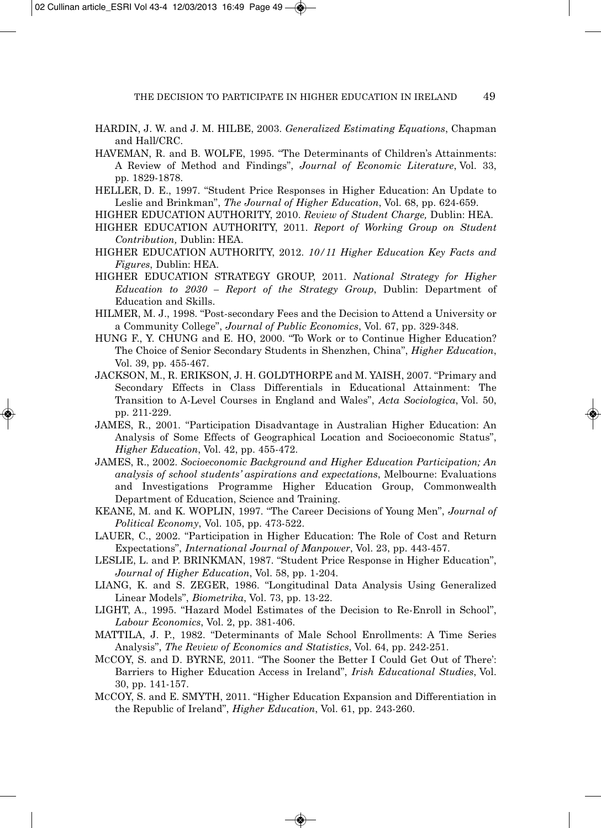- HARDIN, J. W. and J. M. HILBE, 2003. *Generalized Estimating Equations*, Chapman and Hall/CRC.
- HAVEMAN, R. and B. WOLFE, 1995. "The Determinants of Children's Attainments: A Review of Method and Findings", *Journal of Economic Literature*, Vol. 33, pp. 1829-1878.
- HELLER, D. E., 1997. "Student Price Responses in Higher Education: An Update to Leslie and Brinkman", *The Journal of Higher Education*, Vol. 68, pp. 624-659.
- HIGHER EDUCATION AUTHORITY, 2010. *Review of Student Charge,* Dublin: HEA.
- HIGHER EDUCATION AUTHORITY, 2011. *Report of Working Group on Student Contribution,* Dublin: HEA.
- HIGHER EDUCATION AUTHORITY, 2012. *10/11 Higher Education Key Facts and Figures*, Dublin: HEA.
- HIGHER EDUCATION STRATEGY GROUP, 2011. *National Strategy for Higher Education to 2030 – Report of the Strategy Group*, Dublin: Department of Education and Skills.
- HILMER, M. J., 1998. "Post-secondary Fees and the Decision to Attend a University or a Community College", *Journal of Public Economics*, Vol. 67, pp. 329-348.
- HUNG F., Y. CHUNG and E. HO, 2000. "To Work or to Continue Higher Education? The Choice of Senior Secondary Students in Shenzhen, China", *Higher Education*, Vol. 39, pp. 455-467.
- JACKSON, M., R. ERIKSON, J. H. GOLDTHORPE and M. YAISH, 2007. "Primary and Secondary Effects in Class Differentials in Educational Attainment: The Transition to A-Level Courses in England and Wales", *Acta Sociologica*, Vol. 50, pp. 211-229.
- JAMES, R., 2001. "Participation Disadvantage in Australian Higher Education: An Analysis of Some Effects of Geographical Location and Socioeconomic Status", *Higher Education*, Vol. 42, pp. 455-472.
- JAMES, R., 2002. *Socioeconomic Background and Higher Education Participation; An analysis of school students' aspirations and expectations*, Melbourne: Evaluations and Investigations Programme Higher Education Group, Commonwealth Department of Education, Science and Training.
- KEANE, M. and K. WOPLIN, 1997. "The Career Decisions of Young Men", *Journal of Political Economy*, Vol. 105, pp. 473-522.
- LAUER, C., 2002. "Participation in Higher Education: The Role of Cost and Return Expectations", *International Journal of Manpower*, Vol. 23, pp. 443-457.
- LESLIE, L. and P. BRINKMAN, 1987. "Student Price Response in Higher Education", *Journal of Higher Education*, Vol. 58, pp. 1-204.
- LIANG, K. and S. ZEGER, 1986. "Longitudinal Data Analysis Using Generalized Linear Models", *Biometrika*, Vol. 73, pp. 13-22.
- LIGHT, A., 1995. "Hazard Model Estimates of the Decision to Re-Enroll in School", *Labour Economics*, Vol. 2, pp. 381-406.
- MATTILA, J. P., 1982. "Determinants of Male School Enrollments: A Time Series Analysis", *The Review of Economics and Statistics*, Vol. 64, pp. 242-251.
- MCCOY, S. and D. BYRNE, 2011. "The Sooner the Better I Could Get Out of There': Barriers to Higher Education Access in Ireland", *Irish Educational Studies*, Vol. 30, pp. 141-157.
- MCCOY, S. and E. SMYTH, 2011. "Higher Education Expansion and Differentiation in the Republic of Ireland", *Higher Education*, Vol. 61, pp. 243-260.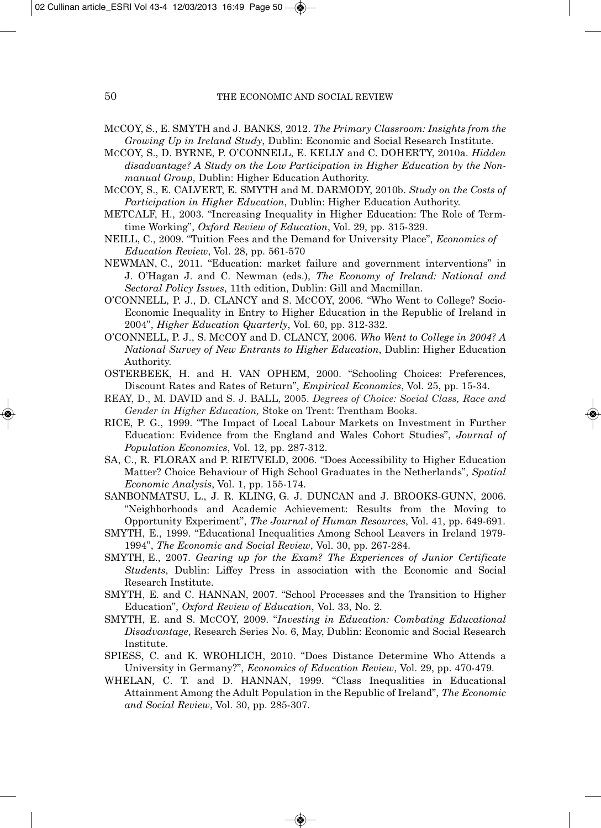- MCCOY, S., E. SMYTH and J. BANKS, 2012. *The Primary Classroom: Insights from the Growing Up in Ireland Study*, Dublin: Economic and Social Research Institute.
- MCCOY, S., D. BYRNE, P. O'CONNELL, E. KELLY and C. DOHERTY, 2010a. *Hidden disadvantage? A Study on the Low Participation in Higher Education by the Nonmanual Group*, Dublin: Higher Education Authority.
- MCCOY, S., E. CALVERT, E. SMYTH and M. DARMODY, 2010b. *Study on the Costs of Participation in Higher Education*, Dublin: Higher Education Authority.
- METCALF, H., 2003. "Increasing Inequality in Higher Education: The Role of Termtime Working", *Oxford Review of Education*, Vol. 29, pp. 315-329.
- NEILL, C., 2009. "Tuition Fees and the Demand for University Place", *Economics of Education Review*, Vol. 28, pp. 561-570
- NEWMAN, C., 2011. "Education: market failure and government interventions" in J. O'Hagan J. and C. Newman (eds.), *The Economy of Ireland: National and Sectoral Policy Issues*, 11th edition, Dublin: Gill and Macmillan.
- O'CONNELL, P. J., D. CLANCY and S. MCCOY, 2006. "Who Went to College? Socio-Economic Inequality in Entry to Higher Education in the Republic of Ireland in 2004", *Higher Education Quarterly*, Vol. 60, pp. 312-332.
- O'CONNELL, P. J., S. MCCOY and D. CLANCY, 2006. *Who Went to College in 2004? A National Survey of New Entrants to Higher Education*, Dublin: Higher Education Authority.
- OSTERBEEK, H. and H. VAN OPHEM, 2000. "Schooling Choices: Preferences, Discount Rates and Rates of Return", *Empirical Economics*, Vol. 25, pp. 15-34.
- REAY, D., M. DAVID and S. J. BALL, 2005. *Degrees of Choice: Social Class, Race and Gender in Higher Education,* Stoke on Trent: Trentham Books.
- RICE, P. G., 1999. "The Impact of Local Labour Markets on Investment in Further Education: Evidence from the England and Wales Cohort Studies", *Journal of Population Economics*, Vol. 12, pp. 287-312.
- SA, C., R. FLORAX and P. RIETVELD, 2006. "Does Accessibility to Higher Education Matter? Choice Behaviour of High School Graduates in the Netherlands", *Spatial Economic Analysis*, Vol. 1, pp. 155-174.
- SANBONMATSU, L., J. R. KLING, G. J. DUNCAN and J. BROOKS-GUNN, 2006. "Neighborhoods and Academic Achievement: Results from the Moving to Opportunity Experiment", *The Journal of Human Resources*, Vol. 41, pp. 649-691.
- SMYTH, E., 1999. "Educational Inequalities Among School Leavers in Ireland 1979- 1994", *The Economic and Social Review*, Vol. 30, pp. 267-284.
- SMYTH, E., 2007. *Gearing up for the Exam? The Experiences of Junior Certificate Students*, Dublin: Liffey Press in association with the Economic and Social Research Institute.
- SMYTH, E. and C. HANNAN, 2007. "School Processes and the Transition to Higher Education", *Oxford Review of Education*, Vol. 33, No. 2.
- SMYTH, E. and S. MCCOY, 2009. "*Investing in Education: Combating Educational Disadvantage*, Research Series No. 6, May, Dublin: Economic and Social Research Institute.
- SPIESS, C. and K. WROHLICH, 2010. "Does Distance Determine Who Attends a University in Germany?", *Economics of Education Review*, Vol. 29, pp. 470-479.
- WHELAN, C. T. and D. HANNAN, 1999. "Class Inequalities in Educational Attainment Among the Adult Population in the Republic of Ireland", *The Economic and Social Review*, Vol. 30, pp. 285-307.